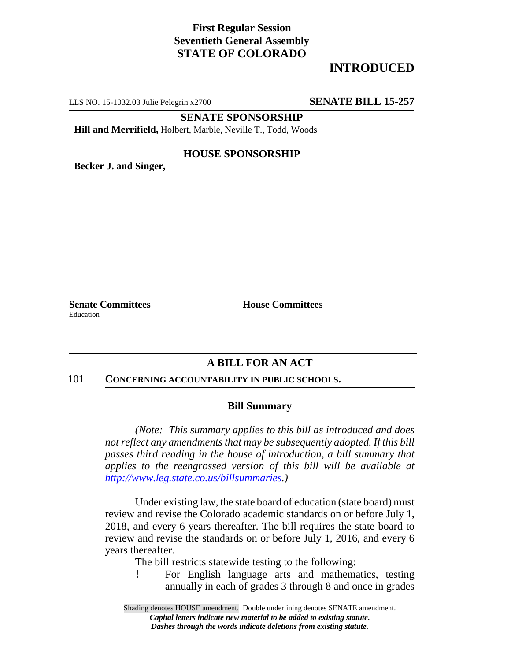### **First Regular Session Seventieth General Assembly STATE OF COLORADO**

## **INTRODUCED**

LLS NO. 15-1032.03 Julie Pelegrin x2700 **SENATE BILL 15-257**

**SENATE SPONSORSHIP**

**Hill and Merrifield,** Holbert, Marble, Neville T., Todd, Woods

#### **HOUSE SPONSORSHIP**

**Becker J. and Singer,**

**Senate Committees House Committees** Education

#### **A BILL FOR AN ACT**

#### 101 **CONCERNING ACCOUNTABILITY IN PUBLIC SCHOOLS.**

#### **Bill Summary**

*(Note: This summary applies to this bill as introduced and does not reflect any amendments that may be subsequently adopted. If this bill passes third reading in the house of introduction, a bill summary that applies to the reengrossed version of this bill will be available at http://www.leg.state.co.us/billsummaries.)*

Under existing law, the state board of education (state board) must review and revise the Colorado academic standards on or before July 1, 2018, and every 6 years thereafter. The bill requires the state board to review and revise the standards on or before July 1, 2016, and every 6 years thereafter.

The bill restricts statewide testing to the following:

! For English language arts and mathematics, testing annually in each of grades 3 through 8 and once in grades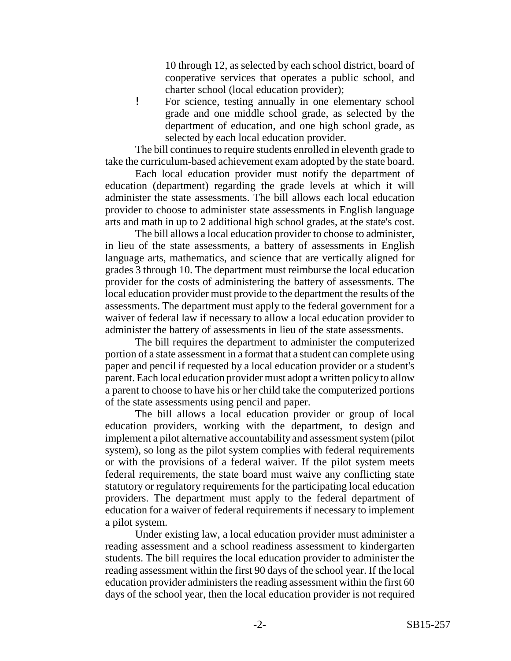10 through 12, as selected by each school district, board of cooperative services that operates a public school, and charter school (local education provider);

! For science, testing annually in one elementary school grade and one middle school grade, as selected by the department of education, and one high school grade, as selected by each local education provider.

The bill continues to require students enrolled in eleventh grade to take the curriculum-based achievement exam adopted by the state board.

Each local education provider must notify the department of education (department) regarding the grade levels at which it will administer the state assessments. The bill allows each local education provider to choose to administer state assessments in English language arts and math in up to 2 additional high school grades, at the state's cost.

The bill allows a local education provider to choose to administer, in lieu of the state assessments, a battery of assessments in English language arts, mathematics, and science that are vertically aligned for grades 3 through 10. The department must reimburse the local education provider for the costs of administering the battery of assessments. The local education provider must provide to the department the results of the assessments. The department must apply to the federal government for a waiver of federal law if necessary to allow a local education provider to administer the battery of assessments in lieu of the state assessments.

The bill requires the department to administer the computerized portion of a state assessment in a format that a student can complete using paper and pencil if requested by a local education provider or a student's parent. Each local education provider must adopt a written policy to allow a parent to choose to have his or her child take the computerized portions of the state assessments using pencil and paper.

The bill allows a local education provider or group of local education providers, working with the department, to design and implement a pilot alternative accountability and assessment system (pilot system), so long as the pilot system complies with federal requirements or with the provisions of a federal waiver. If the pilot system meets federal requirements, the state board must waive any conflicting state statutory or regulatory requirements for the participating local education providers. The department must apply to the federal department of education for a waiver of federal requirements if necessary to implement a pilot system.

Under existing law, a local education provider must administer a reading assessment and a school readiness assessment to kindergarten students. The bill requires the local education provider to administer the reading assessment within the first 90 days of the school year. If the local education provider administers the reading assessment within the first 60 days of the school year, then the local education provider is not required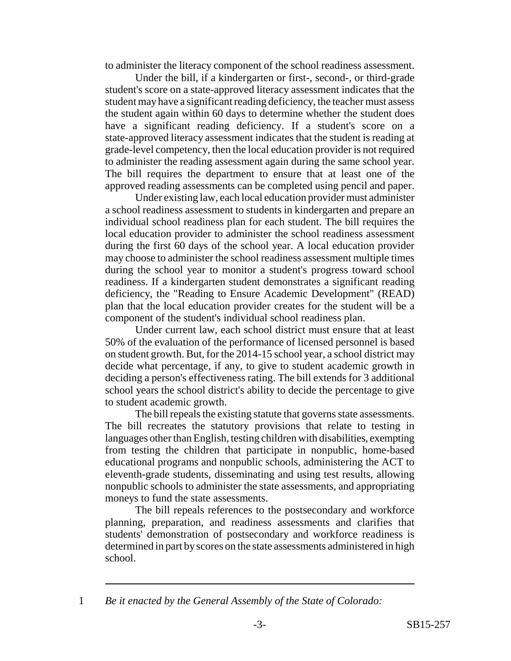to administer the literacy component of the school readiness assessment.

Under the bill, if a kindergarten or first-, second-, or third-grade student's score on a state-approved literacy assessment indicates that the student may have a significant reading deficiency, the teacher must assess the student again within 60 days to determine whether the student does have a significant reading deficiency. If a student's score on a state-approved literacy assessment indicates that the student is reading at grade-level competency, then the local education provider is not required to administer the reading assessment again during the same school year. The bill requires the department to ensure that at least one of the approved reading assessments can be completed using pencil and paper.

Under existing law, each local education provider must administer a school readiness assessment to students in kindergarten and prepare an individual school readiness plan for each student. The bill requires the local education provider to administer the school readiness assessment during the first 60 days of the school year. A local education provider may choose to administer the school readiness assessment multiple times during the school year to monitor a student's progress toward school readiness. If a kindergarten student demonstrates a significant reading deficiency, the "Reading to Ensure Academic Development" (READ) plan that the local education provider creates for the student will be a component of the student's individual school readiness plan.

Under current law, each school district must ensure that at least 50% of the evaluation of the performance of licensed personnel is based on student growth. But, for the 2014-15 school year, a school district may decide what percentage, if any, to give to student academic growth in deciding a person's effectiveness rating. The bill extends for 3 additional school years the school district's ability to decide the percentage to give to student academic growth.

The bill repeals the existing statute that governs state assessments. The bill recreates the statutory provisions that relate to testing in languages other than English, testing children with disabilities, exempting from testing the children that participate in nonpublic, home-based educational programs and nonpublic schools, administering the ACT to eleventh-grade students, disseminating and using test results, allowing nonpublic schools to administer the state assessments, and appropriating moneys to fund the state assessments.

The bill repeals references to the postsecondary and workforce planning, preparation, and readiness assessments and clarifies that students' demonstration of postsecondary and workforce readiness is determined in part by scores on the state assessments administered in high school.

<sup>1</sup> *Be it enacted by the General Assembly of the State of Colorado:*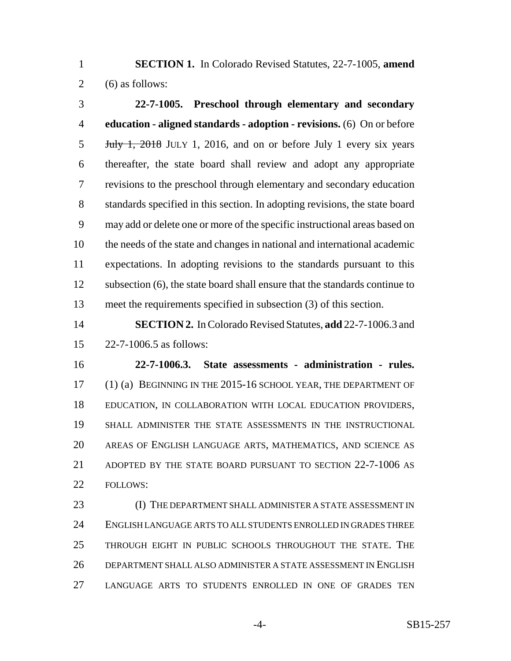**SECTION 1.** In Colorado Revised Statutes, 22-7-1005, **amend** 2  $(6)$  as follows:

 **22-7-1005. Preschool through elementary and secondary education - aligned standards - adoption - revisions.** (6) On or before July 1, 2018 JULY 1, 2016, and on or before July 1 every six years thereafter, the state board shall review and adopt any appropriate revisions to the preschool through elementary and secondary education standards specified in this section. In adopting revisions, the state board may add or delete one or more of the specific instructional areas based on the needs of the state and changes in national and international academic expectations. In adopting revisions to the standards pursuant to this subsection (6), the state board shall ensure that the standards continue to meet the requirements specified in subsection (3) of this section.

 **SECTION 2.** In Colorado Revised Statutes, **add** 22-7-1006.3 and 22-7-1006.5 as follows:

 **22-7-1006.3. State assessments - administration - rules.** (1) (a) BEGINNING IN THE 2015-16 SCHOOL YEAR, THE DEPARTMENT OF EDUCATION, IN COLLABORATION WITH LOCAL EDUCATION PROVIDERS, SHALL ADMINISTER THE STATE ASSESSMENTS IN THE INSTRUCTIONAL AREAS OF ENGLISH LANGUAGE ARTS, MATHEMATICS, AND SCIENCE AS ADOPTED BY THE STATE BOARD PURSUANT TO SECTION 22-7-1006 AS 22 FOLLOWS:

**(I) THE DEPARTMENT SHALL ADMINISTER A STATE ASSESSMENT IN**  ENGLISH LANGUAGE ARTS TO ALL STUDENTS ENROLLED IN GRADES THREE THROUGH EIGHT IN PUBLIC SCHOOLS THROUGHOUT THE STATE. THE DEPARTMENT SHALL ALSO ADMINISTER A STATE ASSESSMENT IN ENGLISH LANGUAGE ARTS TO STUDENTS ENROLLED IN ONE OF GRADES TEN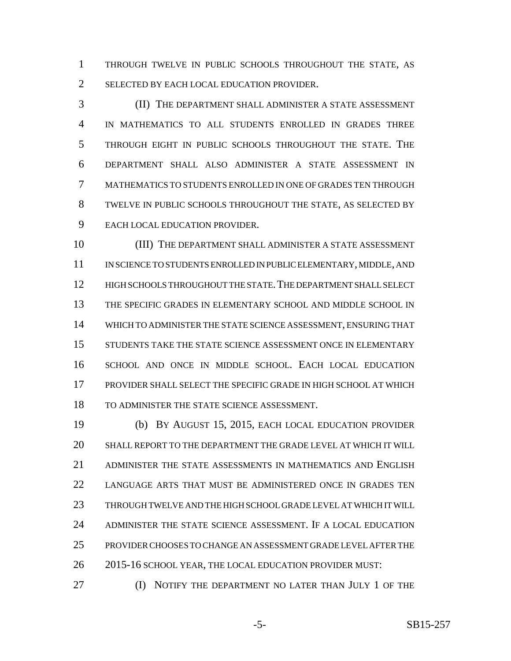THROUGH TWELVE IN PUBLIC SCHOOLS THROUGHOUT THE STATE, AS 2 SELECTED BY EACH LOCAL EDUCATION PROVIDER.

 (II) THE DEPARTMENT SHALL ADMINISTER A STATE ASSESSMENT IN MATHEMATICS TO ALL STUDENTS ENROLLED IN GRADES THREE THROUGH EIGHT IN PUBLIC SCHOOLS THROUGHOUT THE STATE. THE DEPARTMENT SHALL ALSO ADMINISTER A STATE ASSESSMENT IN MATHEMATICS TO STUDENTS ENROLLED IN ONE OF GRADES TEN THROUGH TWELVE IN PUBLIC SCHOOLS THROUGHOUT THE STATE, AS SELECTED BY EACH LOCAL EDUCATION PROVIDER.

 (III) THE DEPARTMENT SHALL ADMINISTER A STATE ASSESSMENT IN SCIENCE TO STUDENTS ENROLLED IN PUBLIC ELEMENTARY, MIDDLE, AND HIGH SCHOOLS THROUGHOUT THE STATE.THE DEPARTMENT SHALL SELECT THE SPECIFIC GRADES IN ELEMENTARY SCHOOL AND MIDDLE SCHOOL IN WHICH TO ADMINISTER THE STATE SCIENCE ASSESSMENT, ENSURING THAT 15 STUDENTS TAKE THE STATE SCIENCE ASSESSMENT ONCE IN ELEMENTARY SCHOOL AND ONCE IN MIDDLE SCHOOL. EACH LOCAL EDUCATION PROVIDER SHALL SELECT THE SPECIFIC GRADE IN HIGH SCHOOL AT WHICH TO ADMINISTER THE STATE SCIENCE ASSESSMENT.

 (b) BY AUGUST 15, 2015, EACH LOCAL EDUCATION PROVIDER SHALL REPORT TO THE DEPARTMENT THE GRADE LEVEL AT WHICH IT WILL ADMINISTER THE STATE ASSESSMENTS IN MATHEMATICS AND ENGLISH LANGUAGE ARTS THAT MUST BE ADMINISTERED ONCE IN GRADES TEN THROUGH TWELVE AND THE HIGH SCHOOL GRADE LEVEL AT WHICH IT WILL ADMINISTER THE STATE SCIENCE ASSESSMENT. IF A LOCAL EDUCATION PROVIDER CHOOSES TO CHANGE AN ASSESSMENT GRADE LEVEL AFTER THE 26 2015-16 SCHOOL YEAR, THE LOCAL EDUCATION PROVIDER MUST:

(I) NOTIFY THE DEPARTMENT NO LATER THAN JULY 1 OF THE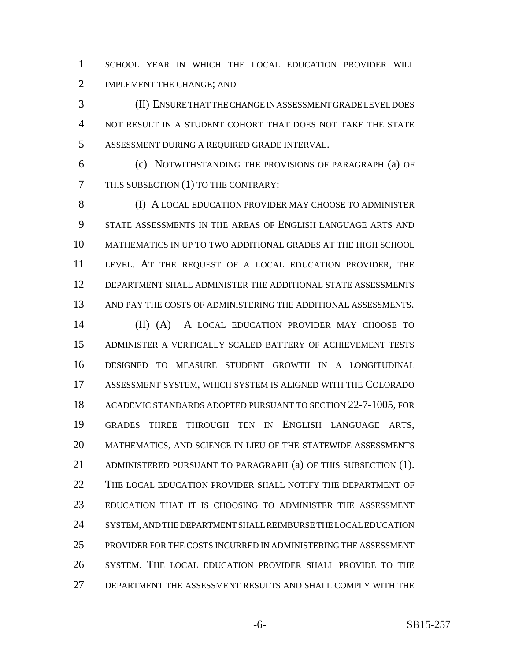SCHOOL YEAR IN WHICH THE LOCAL EDUCATION PROVIDER WILL IMPLEMENT THE CHANGE; AND

 (II) ENSURE THAT THE CHANGE IN ASSESSMENT GRADE LEVEL DOES NOT RESULT IN A STUDENT COHORT THAT DOES NOT TAKE THE STATE ASSESSMENT DURING A REQUIRED GRADE INTERVAL.

 (c) NOTWITHSTANDING THE PROVISIONS OF PARAGRAPH (a) OF THIS SUBSECTION (1) TO THE CONTRARY:

8 (I) A LOCAL EDUCATION PROVIDER MAY CHOOSE TO ADMINISTER STATE ASSESSMENTS IN THE AREAS OF ENGLISH LANGUAGE ARTS AND MATHEMATICS IN UP TO TWO ADDITIONAL GRADES AT THE HIGH SCHOOL LEVEL. AT THE REQUEST OF A LOCAL EDUCATION PROVIDER, THE DEPARTMENT SHALL ADMINISTER THE ADDITIONAL STATE ASSESSMENTS AND PAY THE COSTS OF ADMINISTERING THE ADDITIONAL ASSESSMENTS.

 (II) (A) A LOCAL EDUCATION PROVIDER MAY CHOOSE TO ADMINISTER A VERTICALLY SCALED BATTERY OF ACHIEVEMENT TESTS DESIGNED TO MEASURE STUDENT GROWTH IN A LONGITUDINAL ASSESSMENT SYSTEM, WHICH SYSTEM IS ALIGNED WITH THE COLORADO ACADEMIC STANDARDS ADOPTED PURSUANT TO SECTION 22-7-1005, FOR GRADES THREE THROUGH TEN IN ENGLISH LANGUAGE ARTS, MATHEMATICS, AND SCIENCE IN LIEU OF THE STATEWIDE ASSESSMENTS ADMINISTERED PURSUANT TO PARAGRAPH (a) OF THIS SUBSECTION (1). THE LOCAL EDUCATION PROVIDER SHALL NOTIFY THE DEPARTMENT OF EDUCATION THAT IT IS CHOOSING TO ADMINISTER THE ASSESSMENT SYSTEM, AND THE DEPARTMENT SHALL REIMBURSE THE LOCAL EDUCATION PROVIDER FOR THE COSTS INCURRED IN ADMINISTERING THE ASSESSMENT SYSTEM. THE LOCAL EDUCATION PROVIDER SHALL PROVIDE TO THE DEPARTMENT THE ASSESSMENT RESULTS AND SHALL COMPLY WITH THE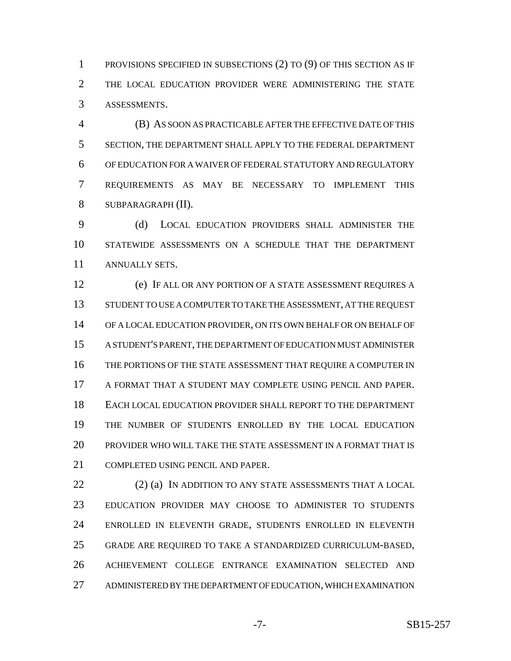PROVISIONS SPECIFIED IN SUBSECTIONS (2) TO (9) OF THIS SECTION AS IF THE LOCAL EDUCATION PROVIDER WERE ADMINISTERING THE STATE ASSESSMENTS.

 (B) AS SOON AS PRACTICABLE AFTER THE EFFECTIVE DATE OF THIS SECTION, THE DEPARTMENT SHALL APPLY TO THE FEDERAL DEPARTMENT OF EDUCATION FOR A WAIVER OF FEDERAL STATUTORY AND REGULATORY REQUIREMENTS AS MAY BE NECESSARY TO IMPLEMENT THIS SUBPARAGRAPH (II).

 (d) LOCAL EDUCATION PROVIDERS SHALL ADMINISTER THE STATEWIDE ASSESSMENTS ON A SCHEDULE THAT THE DEPARTMENT ANNUALLY SETS.

 (e) IF ALL OR ANY PORTION OF A STATE ASSESSMENT REQUIRES A STUDENT TO USE A COMPUTER TO TAKE THE ASSESSMENT, AT THE REQUEST OF A LOCAL EDUCATION PROVIDER, ON ITS OWN BEHALF OR ON BEHALF OF A STUDENT'S PARENT, THE DEPARTMENT OF EDUCATION MUST ADMINISTER THE PORTIONS OF THE STATE ASSESSMENT THAT REQUIRE A COMPUTER IN A FORMAT THAT A STUDENT MAY COMPLETE USING PENCIL AND PAPER. EACH LOCAL EDUCATION PROVIDER SHALL REPORT TO THE DEPARTMENT THE NUMBER OF STUDENTS ENROLLED BY THE LOCAL EDUCATION PROVIDER WHO WILL TAKE THE STATE ASSESSMENT IN A FORMAT THAT IS COMPLETED USING PENCIL AND PAPER.

22 (2) (a) IN ADDITION TO ANY STATE ASSESSMENTS THAT A LOCAL EDUCATION PROVIDER MAY CHOOSE TO ADMINISTER TO STUDENTS ENROLLED IN ELEVENTH GRADE, STUDENTS ENROLLED IN ELEVENTH GRADE ARE REQUIRED TO TAKE A STANDARDIZED CURRICULUM-BASED, ACHIEVEMENT COLLEGE ENTRANCE EXAMINATION SELECTED AND ADMINISTERED BY THE DEPARTMENT OF EDUCATION, WHICH EXAMINATION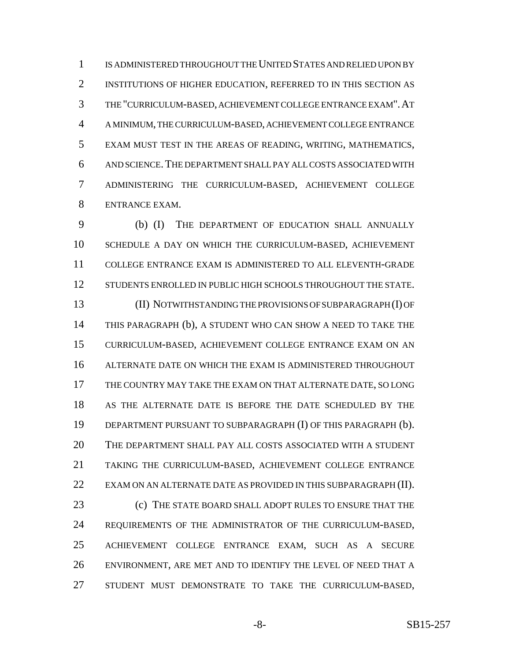IS ADMINISTERED THROUGHOUT THE UNITED STATES AND RELIED UPON BY INSTITUTIONS OF HIGHER EDUCATION, REFERRED TO IN THIS SECTION AS THE "CURRICULUM-BASED, ACHIEVEMENT COLLEGE ENTRANCE EXAM".AT A MINIMUM, THE CURRICULUM-BASED, ACHIEVEMENT COLLEGE ENTRANCE EXAM MUST TEST IN THE AREAS OF READING, WRITING, MATHEMATICS, AND SCIENCE.THE DEPARTMENT SHALL PAY ALL COSTS ASSOCIATED WITH ADMINISTERING THE CURRICULUM-BASED, ACHIEVEMENT COLLEGE ENTRANCE EXAM.

 (b) (I) THE DEPARTMENT OF EDUCATION SHALL ANNUALLY SCHEDULE A DAY ON WHICH THE CURRICULUM-BASED, ACHIEVEMENT COLLEGE ENTRANCE EXAM IS ADMINISTERED TO ALL ELEVENTH-GRADE 12 STUDENTS ENROLLED IN PUBLIC HIGH SCHOOLS THROUGHOUT THE STATE. (II) NOTWITHSTANDING THE PROVISIONS OF SUBPARAGRAPH (I) OF THIS PARAGRAPH (b), A STUDENT WHO CAN SHOW A NEED TO TAKE THE CURRICULUM-BASED, ACHIEVEMENT COLLEGE ENTRANCE EXAM ON AN ALTERNATE DATE ON WHICH THE EXAM IS ADMINISTERED THROUGHOUT THE COUNTRY MAY TAKE THE EXAM ON THAT ALTERNATE DATE, SO LONG AS THE ALTERNATE DATE IS BEFORE THE DATE SCHEDULED BY THE DEPARTMENT PURSUANT TO SUBPARAGRAPH (I) OF THIS PARAGRAPH (b). THE DEPARTMENT SHALL PAY ALL COSTS ASSOCIATED WITH A STUDENT TAKING THE CURRICULUM-BASED, ACHIEVEMENT COLLEGE ENTRANCE 22 EXAM ON AN ALTERNATE DATE AS PROVIDED IN THIS SUBPARAGRAPH (II). (c) THE STATE BOARD SHALL ADOPT RULES TO ENSURE THAT THE

 REQUIREMENTS OF THE ADMINISTRATOR OF THE CURRICULUM-BASED, ACHIEVEMENT COLLEGE ENTRANCE EXAM, SUCH AS A SECURE ENVIRONMENT, ARE MET AND TO IDENTIFY THE LEVEL OF NEED THAT A STUDENT MUST DEMONSTRATE TO TAKE THE CURRICULUM-BASED,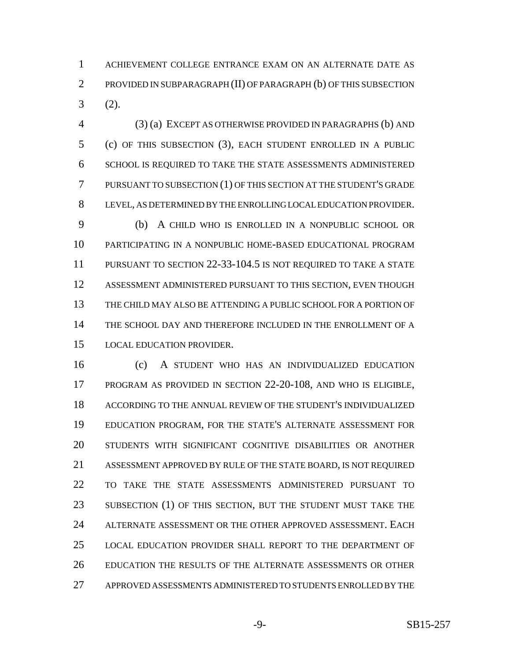ACHIEVEMENT COLLEGE ENTRANCE EXAM ON AN ALTERNATE DATE AS PROVIDED IN SUBPARAGRAPH (II) OF PARAGRAPH (b) OF THIS SUBSECTION (2).

 (3) (a) EXCEPT AS OTHERWISE PROVIDED IN PARAGRAPHS (b) AND (c) OF THIS SUBSECTION (3), EACH STUDENT ENROLLED IN A PUBLIC SCHOOL IS REQUIRED TO TAKE THE STATE ASSESSMENTS ADMINISTERED PURSUANT TO SUBSECTION (1) OF THIS SECTION AT THE STUDENT'S GRADE LEVEL, AS DETERMINED BY THE ENROLLING LOCAL EDUCATION PROVIDER. (b) A CHILD WHO IS ENROLLED IN A NONPUBLIC SCHOOL OR PARTICIPATING IN A NONPUBLIC HOME-BASED EDUCATIONAL PROGRAM PURSUANT TO SECTION 22-33-104.5 IS NOT REQUIRED TO TAKE A STATE ASSESSMENT ADMINISTERED PURSUANT TO THIS SECTION, EVEN THOUGH THE CHILD MAY ALSO BE ATTENDING A PUBLIC SCHOOL FOR A PORTION OF THE SCHOOL DAY AND THEREFORE INCLUDED IN THE ENROLLMENT OF A

LOCAL EDUCATION PROVIDER.

 (c) A STUDENT WHO HAS AN INDIVIDUALIZED EDUCATION PROGRAM AS PROVIDED IN SECTION 22-20-108, AND WHO IS ELIGIBLE, ACCORDING TO THE ANNUAL REVIEW OF THE STUDENT'S INDIVIDUALIZED EDUCATION PROGRAM, FOR THE STATE'S ALTERNATE ASSESSMENT FOR STUDENTS WITH SIGNIFICANT COGNITIVE DISABILITIES OR ANOTHER ASSESSMENT APPROVED BY RULE OF THE STATE BOARD, IS NOT REQUIRED TO TAKE THE STATE ASSESSMENTS ADMINISTERED PURSUANT TO 23 SUBSECTION (1) OF THIS SECTION, BUT THE STUDENT MUST TAKE THE ALTERNATE ASSESSMENT OR THE OTHER APPROVED ASSESSMENT. EACH LOCAL EDUCATION PROVIDER SHALL REPORT TO THE DEPARTMENT OF EDUCATION THE RESULTS OF THE ALTERNATE ASSESSMENTS OR OTHER APPROVED ASSESSMENTS ADMINISTERED TO STUDENTS ENROLLED BY THE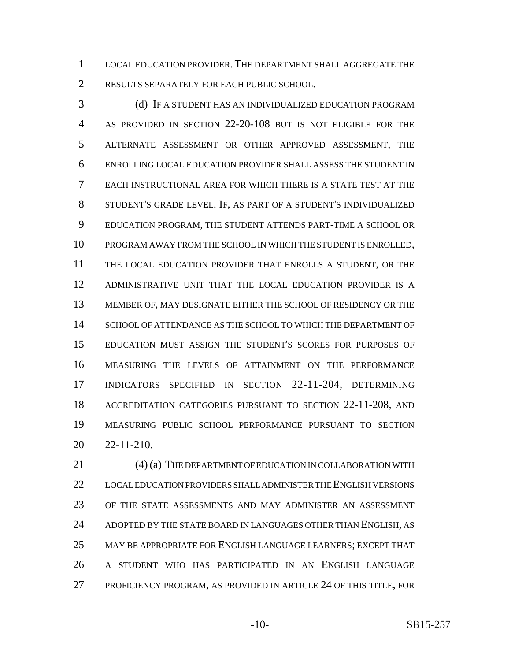LOCAL EDUCATION PROVIDER. THE DEPARTMENT SHALL AGGREGATE THE RESULTS SEPARATELY FOR EACH PUBLIC SCHOOL.

 (d) IF A STUDENT HAS AN INDIVIDUALIZED EDUCATION PROGRAM AS PROVIDED IN SECTION 22-20-108 BUT IS NOT ELIGIBLE FOR THE ALTERNATE ASSESSMENT OR OTHER APPROVED ASSESSMENT, THE ENROLLING LOCAL EDUCATION PROVIDER SHALL ASSESS THE STUDENT IN EACH INSTRUCTIONAL AREA FOR WHICH THERE IS A STATE TEST AT THE STUDENT'S GRADE LEVEL. IF, AS PART OF A STUDENT'S INDIVIDUALIZED EDUCATION PROGRAM, THE STUDENT ATTENDS PART-TIME A SCHOOL OR PROGRAM AWAY FROM THE SCHOOL IN WHICH THE STUDENT IS ENROLLED, THE LOCAL EDUCATION PROVIDER THAT ENROLLS A STUDENT, OR THE ADMINISTRATIVE UNIT THAT THE LOCAL EDUCATION PROVIDER IS A MEMBER OF, MAY DESIGNATE EITHER THE SCHOOL OF RESIDENCY OR THE SCHOOL OF ATTENDANCE AS THE SCHOOL TO WHICH THE DEPARTMENT OF EDUCATION MUST ASSIGN THE STUDENT'S SCORES FOR PURPOSES OF MEASURING THE LEVELS OF ATTAINMENT ON THE PERFORMANCE INDICATORS SPECIFIED IN SECTION 22-11-204, DETERMINING ACCREDITATION CATEGORIES PURSUANT TO SECTION 22-11-208, AND MEASURING PUBLIC SCHOOL PERFORMANCE PURSUANT TO SECTION 22-11-210.

 (4) (a) THE DEPARTMENT OF EDUCATION IN COLLABORATION WITH LOCAL EDUCATION PROVIDERS SHALL ADMINISTER THE ENGLISH VERSIONS OF THE STATE ASSESSMENTS AND MAY ADMINISTER AN ASSESSMENT ADOPTED BY THE STATE BOARD IN LANGUAGES OTHER THAN ENGLISH, AS MAY BE APPROPRIATE FOR ENGLISH LANGUAGE LEARNERS; EXCEPT THAT A STUDENT WHO HAS PARTICIPATED IN AN ENGLISH LANGUAGE PROFICIENCY PROGRAM, AS PROVIDED IN ARTICLE 24 OF THIS TITLE, FOR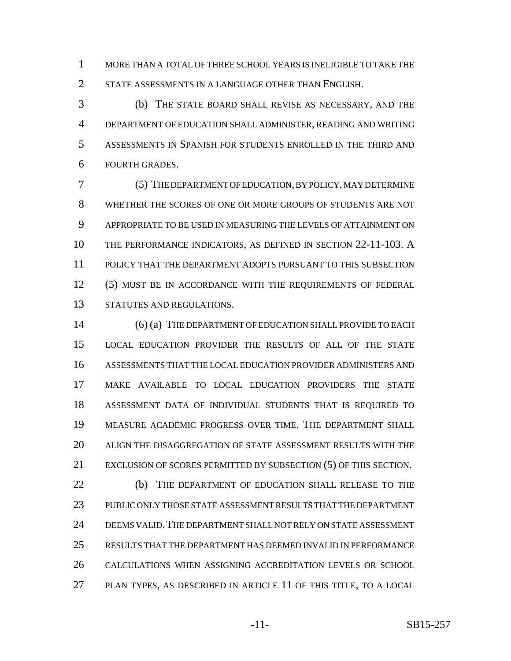MORE THAN A TOTAL OF THREE SCHOOL YEARS IS INELIGIBLE TO TAKE THE 2 STATE ASSESSMENTS IN A LANGUAGE OTHER THAN ENGLISH.

 (b) THE STATE BOARD SHALL REVISE AS NECESSARY, AND THE DEPARTMENT OF EDUCATION SHALL ADMINISTER, READING AND WRITING ASSESSMENTS IN SPANISH FOR STUDENTS ENROLLED IN THE THIRD AND FOURTH GRADES.

 (5) THE DEPARTMENT OF EDUCATION, BY POLICY, MAY DETERMINE WHETHER THE SCORES OF ONE OR MORE GROUPS OF STUDENTS ARE NOT APPROPRIATE TO BE USED IN MEASURING THE LEVELS OF ATTAINMENT ON THE PERFORMANCE INDICATORS, AS DEFINED IN SECTION 22-11-103. A POLICY THAT THE DEPARTMENT ADOPTS PURSUANT TO THIS SUBSECTION (5) MUST BE IN ACCORDANCE WITH THE REQUIREMENTS OF FEDERAL STATUTES AND REGULATIONS.

14 (6) (a) THE DEPARTMENT OF EDUCATION SHALL PROVIDE TO EACH LOCAL EDUCATION PROVIDER THE RESULTS OF ALL OF THE STATE ASSESSMENTS THAT THE LOCAL EDUCATION PROVIDER ADMINISTERS AND MAKE AVAILABLE TO LOCAL EDUCATION PROVIDERS THE STATE ASSESSMENT DATA OF INDIVIDUAL STUDENTS THAT IS REQUIRED TO MEASURE ACADEMIC PROGRESS OVER TIME. THE DEPARTMENT SHALL ALIGN THE DISAGGREGATION OF STATE ASSESSMENT RESULTS WITH THE EXCLUSION OF SCORES PERMITTED BY SUBSECTION (5) OF THIS SECTION. (b) THE DEPARTMENT OF EDUCATION SHALL RELEASE TO THE

 PUBLIC ONLY THOSE STATE ASSESSMENT RESULTS THAT THE DEPARTMENT DEEMS VALID.THE DEPARTMENT SHALL NOT RELY ON STATE ASSESSMENT RESULTS THAT THE DEPARTMENT HAS DEEMED INVALID IN PERFORMANCE CALCULATIONS WHEN ASSIGNING ACCREDITATION LEVELS OR SCHOOL PLAN TYPES, AS DESCRIBED IN ARTICLE 11 OF THIS TITLE, TO A LOCAL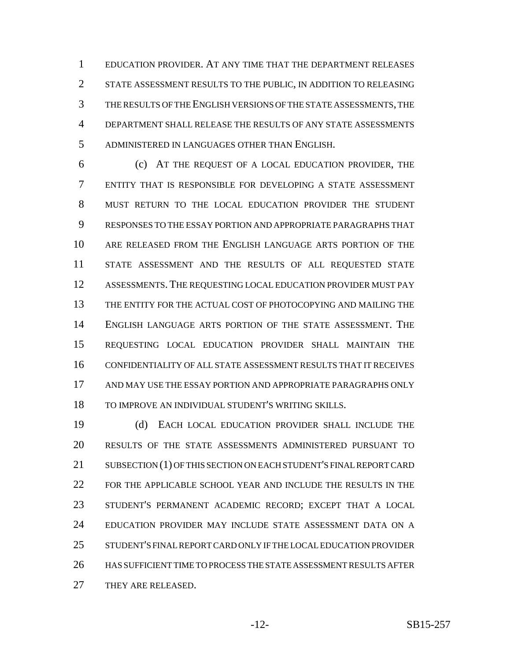EDUCATION PROVIDER. AT ANY TIME THAT THE DEPARTMENT RELEASES STATE ASSESSMENT RESULTS TO THE PUBLIC, IN ADDITION TO RELEASING THE RESULTS OF THE ENGLISH VERSIONS OF THE STATE ASSESSMENTS, THE DEPARTMENT SHALL RELEASE THE RESULTS OF ANY STATE ASSESSMENTS ADMINISTERED IN LANGUAGES OTHER THAN ENGLISH.

 (c) AT THE REQUEST OF A LOCAL EDUCATION PROVIDER, THE ENTITY THAT IS RESPONSIBLE FOR DEVELOPING A STATE ASSESSMENT MUST RETURN TO THE LOCAL EDUCATION PROVIDER THE STUDENT RESPONSES TO THE ESSAY PORTION AND APPROPRIATE PARAGRAPHS THAT ARE RELEASED FROM THE ENGLISH LANGUAGE ARTS PORTION OF THE STATE ASSESSMENT AND THE RESULTS OF ALL REQUESTED STATE ASSESSMENTS. THE REQUESTING LOCAL EDUCATION PROVIDER MUST PAY THE ENTITY FOR THE ACTUAL COST OF PHOTOCOPYING AND MAILING THE ENGLISH LANGUAGE ARTS PORTION OF THE STATE ASSESSMENT. THE REQUESTING LOCAL EDUCATION PROVIDER SHALL MAINTAIN THE CONFIDENTIALITY OF ALL STATE ASSESSMENT RESULTS THAT IT RECEIVES AND MAY USE THE ESSAY PORTION AND APPROPRIATE PARAGRAPHS ONLY TO IMPROVE AN INDIVIDUAL STUDENT'S WRITING SKILLS.

 (d) EACH LOCAL EDUCATION PROVIDER SHALL INCLUDE THE RESULTS OF THE STATE ASSESSMENTS ADMINISTERED PURSUANT TO SUBSECTION (1) OF THIS SECTION ON EACH STUDENT'S FINAL REPORT CARD FOR THE APPLICABLE SCHOOL YEAR AND INCLUDE THE RESULTS IN THE STUDENT'S PERMANENT ACADEMIC RECORD; EXCEPT THAT A LOCAL EDUCATION PROVIDER MAY INCLUDE STATE ASSESSMENT DATA ON A STUDENT'S FINAL REPORT CARD ONLY IF THE LOCAL EDUCATION PROVIDER HAS SUFFICIENT TIME TO PROCESS THE STATE ASSESSMENT RESULTS AFTER 27 THEY ARE RELEASED.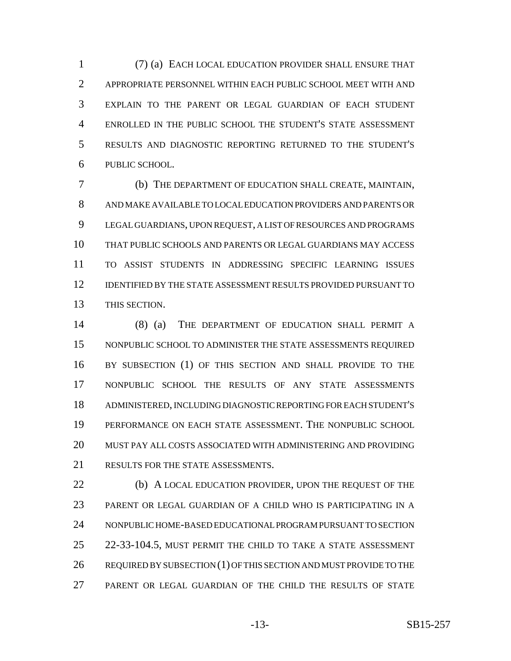(7) (a) EACH LOCAL EDUCATION PROVIDER SHALL ENSURE THAT APPROPRIATE PERSONNEL WITHIN EACH PUBLIC SCHOOL MEET WITH AND EXPLAIN TO THE PARENT OR LEGAL GUARDIAN OF EACH STUDENT ENROLLED IN THE PUBLIC SCHOOL THE STUDENT'S STATE ASSESSMENT RESULTS AND DIAGNOSTIC REPORTING RETURNED TO THE STUDENT'S PUBLIC SCHOOL.

 (b) THE DEPARTMENT OF EDUCATION SHALL CREATE, MAINTAIN, AND MAKE AVAILABLE TO LOCAL EDUCATION PROVIDERS AND PARENTS OR LEGAL GUARDIANS, UPON REQUEST, A LIST OF RESOURCES AND PROGRAMS THAT PUBLIC SCHOOLS AND PARENTS OR LEGAL GUARDIANS MAY ACCESS TO ASSIST STUDENTS IN ADDRESSING SPECIFIC LEARNING ISSUES IDENTIFIED BY THE STATE ASSESSMENT RESULTS PROVIDED PURSUANT TO THIS SECTION.

 (8) (a) THE DEPARTMENT OF EDUCATION SHALL PERMIT A NONPUBLIC SCHOOL TO ADMINISTER THE STATE ASSESSMENTS REQUIRED BY SUBSECTION (1) OF THIS SECTION AND SHALL PROVIDE TO THE NONPUBLIC SCHOOL THE RESULTS OF ANY STATE ASSESSMENTS ADMINISTERED, INCLUDING DIAGNOSTIC REPORTING FOR EACH STUDENT'S PERFORMANCE ON EACH STATE ASSESSMENT. THE NONPUBLIC SCHOOL MUST PAY ALL COSTS ASSOCIATED WITH ADMINISTERING AND PROVIDING 21 RESULTS FOR THE STATE ASSESSMENTS.

**(b)** A LOCAL EDUCATION PROVIDER, UPON THE REQUEST OF THE PARENT OR LEGAL GUARDIAN OF A CHILD WHO IS PARTICIPATING IN A NONPUBLIC HOME-BASED EDUCATIONAL PROGRAM PURSUANT TO SECTION 22-33-104.5, MUST PERMIT THE CHILD TO TAKE A STATE ASSESSMENT 26 REQUIRED BY SUBSECTION (1) OF THIS SECTION AND MUST PROVIDE TO THE PARENT OR LEGAL GUARDIAN OF THE CHILD THE RESULTS OF STATE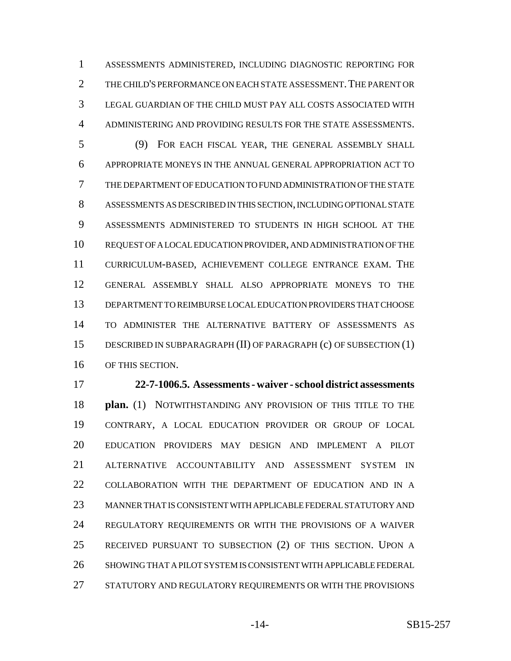ASSESSMENTS ADMINISTERED, INCLUDING DIAGNOSTIC REPORTING FOR 2 THE CHILD'S PERFORMANCE ON EACH STATE ASSESSMENT. THE PARENT OR LEGAL GUARDIAN OF THE CHILD MUST PAY ALL COSTS ASSOCIATED WITH ADMINISTERING AND PROVIDING RESULTS FOR THE STATE ASSESSMENTS.

 (9) FOR EACH FISCAL YEAR, THE GENERAL ASSEMBLY SHALL APPROPRIATE MONEYS IN THE ANNUAL GENERAL APPROPRIATION ACT TO THE DEPARTMENT OF EDUCATION TO FUND ADMINISTRATION OF THE STATE ASSESSMENTS AS DESCRIBED IN THIS SECTION, INCLUDING OPTIONAL STATE ASSESSMENTS ADMINISTERED TO STUDENTS IN HIGH SCHOOL AT THE REQUEST OF A LOCAL EDUCATION PROVIDER, AND ADMINISTRATION OF THE CURRICULUM-BASED, ACHIEVEMENT COLLEGE ENTRANCE EXAM. THE GENERAL ASSEMBLY SHALL ALSO APPROPRIATE MONEYS TO THE DEPARTMENT TO REIMBURSE LOCAL EDUCATION PROVIDERS THAT CHOOSE TO ADMINISTER THE ALTERNATIVE BATTERY OF ASSESSMENTS AS DESCRIBED IN SUBPARAGRAPH (II) OF PARAGRAPH (c) OF SUBSECTION (1) OF THIS SECTION.

 **22-7-1006.5. Assessments - waiver - school district assessments plan.** (1) NOTWITHSTANDING ANY PROVISION OF THIS TITLE TO THE CONTRARY, A LOCAL EDUCATION PROVIDER OR GROUP OF LOCAL EDUCATION PROVIDERS MAY DESIGN AND IMPLEMENT A PILOT ALTERNATIVE ACCOUNTABILITY AND ASSESSMENT SYSTEM IN COLLABORATION WITH THE DEPARTMENT OF EDUCATION AND IN A MANNER THAT IS CONSISTENT WITH APPLICABLE FEDERAL STATUTORY AND REGULATORY REQUIREMENTS OR WITH THE PROVISIONS OF A WAIVER RECEIVED PURSUANT TO SUBSECTION (2) OF THIS SECTION. UPON A SHOWING THAT A PILOT SYSTEM IS CONSISTENT WITH APPLICABLE FEDERAL STATUTORY AND REGULATORY REQUIREMENTS OR WITH THE PROVISIONS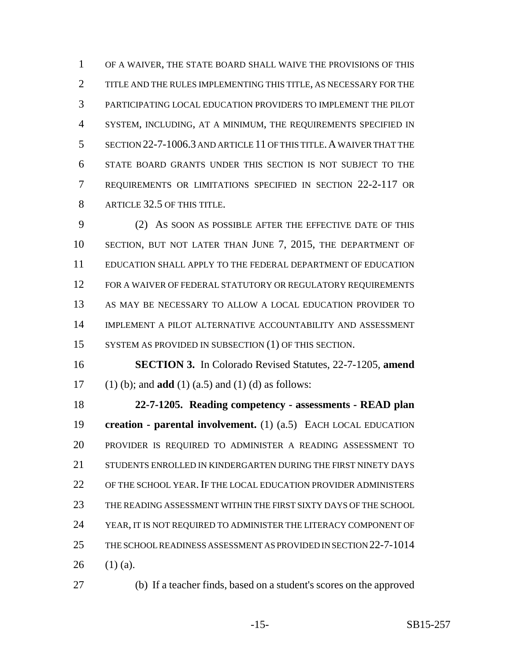OF A WAIVER, THE STATE BOARD SHALL WAIVE THE PROVISIONS OF THIS TITLE AND THE RULES IMPLEMENTING THIS TITLE, AS NECESSARY FOR THE PARTICIPATING LOCAL EDUCATION PROVIDERS TO IMPLEMENT THE PILOT SYSTEM, INCLUDING, AT A MINIMUM, THE REQUIREMENTS SPECIFIED IN SECTION 22-7-1006.3 AND ARTICLE 11 OF THIS TITLE.A WAIVER THAT THE STATE BOARD GRANTS UNDER THIS SECTION IS NOT SUBJECT TO THE REQUIREMENTS OR LIMITATIONS SPECIFIED IN SECTION 22-2-117 OR 8 ARTICLE 32.5 OF THIS TITLE.

 (2) AS SOON AS POSSIBLE AFTER THE EFFECTIVE DATE OF THIS SECTION, BUT NOT LATER THAN JUNE 7, 2015, THE DEPARTMENT OF EDUCATION SHALL APPLY TO THE FEDERAL DEPARTMENT OF EDUCATION 12 FOR A WAIVER OF FEDERAL STATUTORY OR REGULATORY REQUIREMENTS AS MAY BE NECESSARY TO ALLOW A LOCAL EDUCATION PROVIDER TO IMPLEMENT A PILOT ALTERNATIVE ACCOUNTABILITY AND ASSESSMENT 15 SYSTEM AS PROVIDED IN SUBSECTION (1) OF THIS SECTION.

 **SECTION 3.** In Colorado Revised Statutes, 22-7-1205, **amend** (1) (b); and **add** (1) (a.5) and (1) (d) as follows:

 **22-7-1205. Reading competency - assessments - READ plan creation - parental involvement.** (1) (a.5) EACH LOCAL EDUCATION PROVIDER IS REQUIRED TO ADMINISTER A READING ASSESSMENT TO STUDENTS ENROLLED IN KINDERGARTEN DURING THE FIRST NINETY DAYS OF THE SCHOOL YEAR. IF THE LOCAL EDUCATION PROVIDER ADMINISTERS THE READING ASSESSMENT WITHIN THE FIRST SIXTY DAYS OF THE SCHOOL YEAR, IT IS NOT REQUIRED TO ADMINISTER THE LITERACY COMPONENT OF THE SCHOOL READINESS ASSESSMENT AS PROVIDED IN SECTION 22-7-1014 26  $(1)$  (a).

(b) If a teacher finds, based on a student's scores on the approved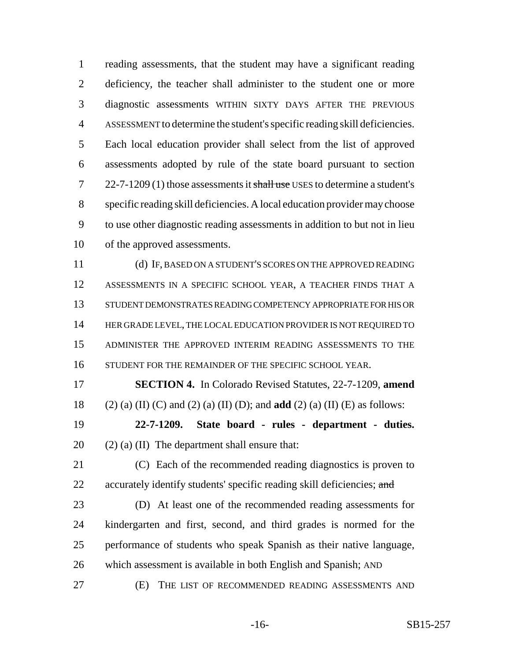reading assessments, that the student may have a significant reading deficiency, the teacher shall administer to the student one or more diagnostic assessments WITHIN SIXTY DAYS AFTER THE PREVIOUS ASSESSMENT to determine the student's specific reading skill deficiencies. Each local education provider shall select from the list of approved assessments adopted by rule of the state board pursuant to section 22-7-1209 (1) those assessments it shall use USES to determine a student's specific reading skill deficiencies. A local education provider may choose to use other diagnostic reading assessments in addition to but not in lieu of the approved assessments.

 (d) IF, BASED ON A STUDENT'S SCORES ON THE APPROVED READING ASSESSMENTS IN A SPECIFIC SCHOOL YEAR, A TEACHER FINDS THAT A STUDENT DEMONSTRATES READING COMPETENCY APPROPRIATE FOR HIS OR 14 HER GRADE LEVEL, THE LOCAL EDUCATION PROVIDER IS NOT REQUIRED TO ADMINISTER THE APPROVED INTERIM READING ASSESSMENTS TO THE 16 STUDENT FOR THE REMAINDER OF THE SPECIFIC SCHOOL YEAR.

 **SECTION 4.** In Colorado Revised Statutes, 22-7-1209, **amend** (2) (a) (II) (C) and (2) (a) (II) (D); and **add** (2) (a) (II) (E) as follows:

 **22-7-1209. State board - rules - department - duties.** 20  $(2)$  (a) (II) The department shall ensure that:

 (C) Each of the recommended reading diagnostics is proven to 22 accurately identify students' specific reading skill deficiencies; and

 (D) At least one of the recommended reading assessments for kindergarten and first, second, and third grades is normed for the performance of students who speak Spanish as their native language, which assessment is available in both English and Spanish; AND

(E) THE LIST OF RECOMMENDED READING ASSESSMENTS AND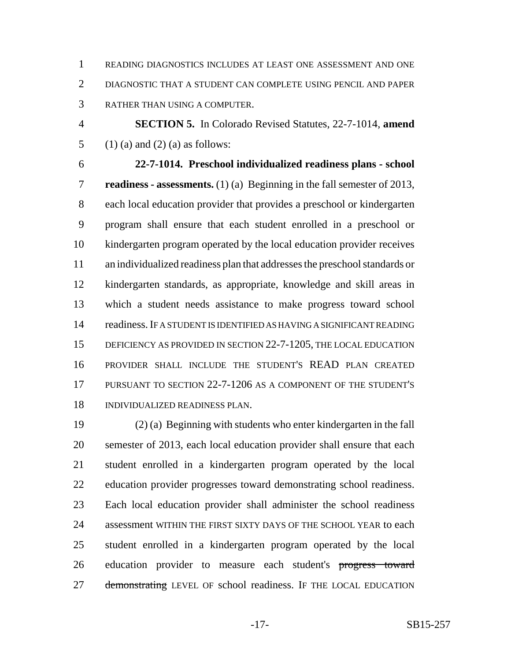READING DIAGNOSTICS INCLUDES AT LEAST ONE ASSESSMENT AND ONE DIAGNOSTIC THAT A STUDENT CAN COMPLETE USING PENCIL AND PAPER RATHER THAN USING A COMPUTER.

 **SECTION 5.** In Colorado Revised Statutes, 22-7-1014, **amend** 5 (1) (a) and (2) (a) as follows:

 **22-7-1014. Preschool individualized readiness plans - school readiness - assessments.** (1) (a) Beginning in the fall semester of 2013, each local education provider that provides a preschool or kindergarten program shall ensure that each student enrolled in a preschool or kindergarten program operated by the local education provider receives an individualized readiness plan that addresses the preschool standards or kindergarten standards, as appropriate, knowledge and skill areas in which a student needs assistance to make progress toward school readiness. IF A STUDENT IS IDENTIFIED AS HAVING A SIGNIFICANT READING 15 DEFICIENCY AS PROVIDED IN SECTION 22-7-1205, THE LOCAL EDUCATION PROVIDER SHALL INCLUDE THE STUDENT'S READ PLAN CREATED PURSUANT TO SECTION 22-7-1206 AS A COMPONENT OF THE STUDENT'S INDIVIDUALIZED READINESS PLAN.

 (2) (a) Beginning with students who enter kindergarten in the fall semester of 2013, each local education provider shall ensure that each student enrolled in a kindergarten program operated by the local education provider progresses toward demonstrating school readiness. Each local education provider shall administer the school readiness assessment WITHIN THE FIRST SIXTY DAYS OF THE SCHOOL YEAR to each student enrolled in a kindergarten program operated by the local 26 education provider to measure each student's progress toward 27 demonstrating LEVEL OF school readiness. IF THE LOCAL EDUCATION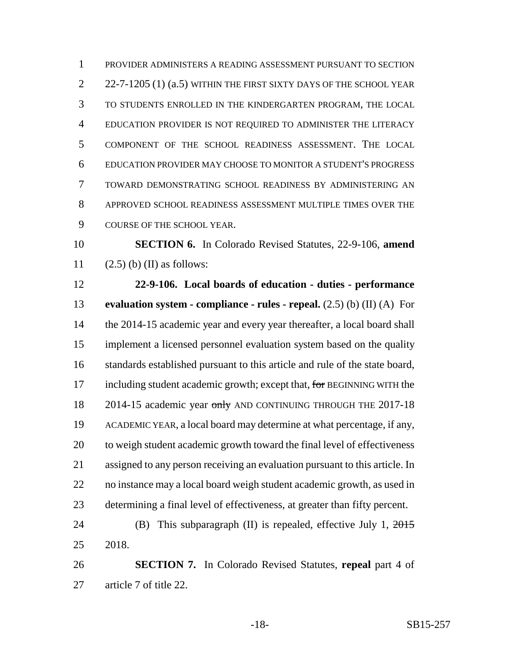PROVIDER ADMINISTERS A READING ASSESSMENT PURSUANT TO SECTION 2 22-7-1205 (1) (a.5) WITHIN THE FIRST SIXTY DAYS OF THE SCHOOL YEAR TO STUDENTS ENROLLED IN THE KINDERGARTEN PROGRAM, THE LOCAL EDUCATION PROVIDER IS NOT REQUIRED TO ADMINISTER THE LITERACY COMPONENT OF THE SCHOOL READINESS ASSESSMENT. THE LOCAL EDUCATION PROVIDER MAY CHOOSE TO MONITOR A STUDENT'S PROGRESS TOWARD DEMONSTRATING SCHOOL READINESS BY ADMINISTERING AN APPROVED SCHOOL READINESS ASSESSMENT MULTIPLE TIMES OVER THE COURSE OF THE SCHOOL YEAR.

 **SECTION 6.** In Colorado Revised Statutes, 22-9-106, **amend** 11  $(2.5)$  (b) (II) as follows:

 **22-9-106. Local boards of education - duties - performance evaluation system - compliance - rules - repeal.** (2.5) (b) (II) (A) For 14 the 2014-15 academic year and every year thereafter, a local board shall implement a licensed personnel evaluation system based on the quality standards established pursuant to this article and rule of the state board, 17 including student academic growth; except that, for BEGINNING WITH the 18 2014-15 academic year only AND CONTINUING THROUGH THE 2017-18 ACADEMIC YEAR, a local board may determine at what percentage, if any, 20 to weigh student academic growth toward the final level of effectiveness assigned to any person receiving an evaluation pursuant to this article. In no instance may a local board weigh student academic growth, as used in determining a final level of effectiveness, at greater than fifty percent. 24 (B) This subparagraph (II) is repealed, effective July 1, 2015

2018.

 **SECTION 7.** In Colorado Revised Statutes, **repeal** part 4 of article 7 of title 22.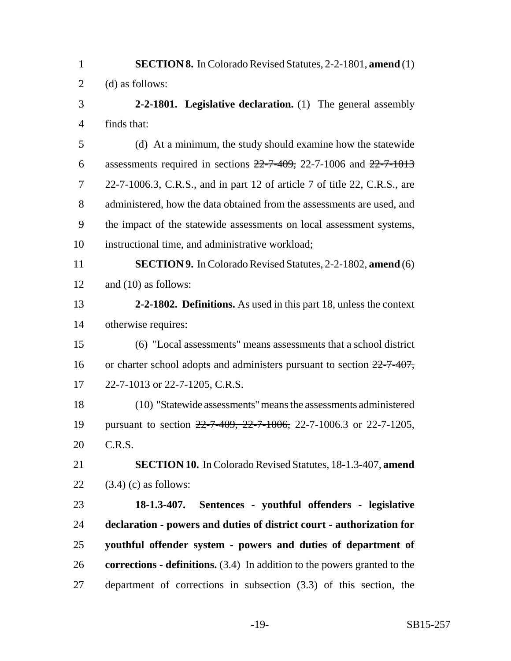| $\mathbf{1}$   | <b>SECTION 8.</b> In Colorado Revised Statutes, 2-2-1801, amend (1)                |
|----------------|------------------------------------------------------------------------------------|
| $\overline{2}$ | (d) as follows:                                                                    |
| 3              | 2-2-1801. Legislative declaration. $(1)$ The general assembly                      |
| $\overline{4}$ | finds that:                                                                        |
| 5              | (d) At a minimum, the study should examine how the statewide                       |
| 6              | assessments required in sections $22-7-409$ , 22-7-1006 and $22-7-1013$            |
| 7              | 22-7-1006.3, C.R.S., and in part 12 of article 7 of title 22, C.R.S., are          |
| 8              | administered, how the data obtained from the assessments are used, and             |
| 9              | the impact of the statewide assessments on local assessment systems,               |
| 10             | instructional time, and administrative workload;                                   |
| 11             | <b>SECTION 9.</b> In Colorado Revised Statutes, 2-2-1802, amend (6)                |
| 12             | and $(10)$ as follows:                                                             |
| 13             | 2-2-1802. Definitions. As used in this part 18, unless the context                 |
| 14             | otherwise requires:                                                                |
| 15             | (6) "Local assessments" means assessments that a school district                   |
| 16             | or charter school adopts and administers pursuant to section $22-7-407$ ,          |
| 17             | 22-7-1013 or 22-7-1205, C.R.S.                                                     |
| 18             | (10) "Statewide assessments" means the assessments administered                    |
| 19             | pursuant to section 22-7-409, 22-7-1006, 22-7-1006.3 or 22-7-1205,                 |
| 20             | C.R.S.                                                                             |
| 21             | <b>SECTION 10.</b> In Colorado Revised Statutes, 18-1.3-407, amend                 |
| 22             | $(3.4)$ (c) as follows:                                                            |
| 23             | 18-1.3-407. Sentences - youthful offenders - legislative                           |
| 24             | declaration - powers and duties of district court - authorization for              |
| 25             | youthful offender system - powers and duties of department of                      |
| 26             | <b>corrections - definitions.</b> $(3.4)$ In addition to the powers granted to the |
| 27             | department of corrections in subsection $(3.3)$ of this section, the               |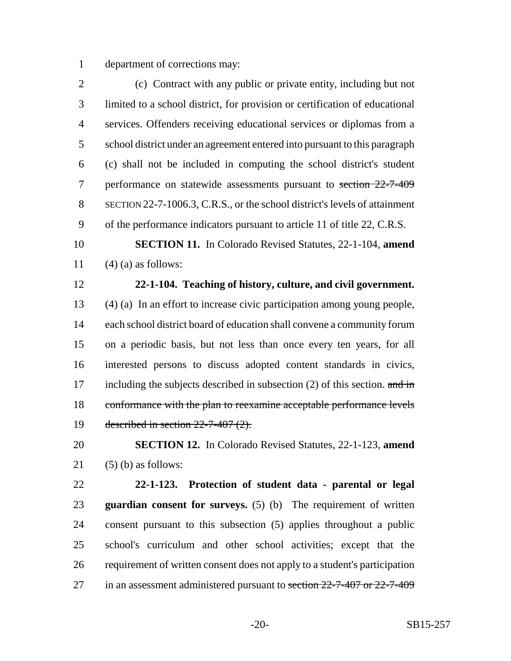department of corrections may:

 (c) Contract with any public or private entity, including but not limited to a school district, for provision or certification of educational services. Offenders receiving educational services or diplomas from a school district under an agreement entered into pursuant to this paragraph (c) shall not be included in computing the school district's student 7 performance on statewide assessments pursuant to section 22-7-409 SECTION 22-7-1006.3, C.R.S., or the school district's levels of attainment of the performance indicators pursuant to article 11 of title 22, C.R.S.

 **SECTION 11.** In Colorado Revised Statutes, 22-1-104, **amend** 11  $(4)$  (a) as follows:

## **22-1-104. Teaching of history, culture, and civil government.**

 (4) (a) In an effort to increase civic participation among young people, each school district board of education shall convene a community forum on a periodic basis, but not less than once every ten years, for all interested persons to discuss adopted content standards in civics, 17 including the subjects described in subsection  $(2)$  of this section. and in conformance with the plan to reexamine acceptable performance levels described in section 22-7-407 (2).

## **SECTION 12.** In Colorado Revised Statutes, 22-1-123, **amend** (5) (b) as follows:

 **22-1-123. Protection of student data - parental or legal guardian consent for surveys.** (5) (b) The requirement of written consent pursuant to this subsection (5) applies throughout a public school's curriculum and other school activities; except that the requirement of written consent does not apply to a student's participation 27 in an assessment administered pursuant to section 22-7-407 or 22-7-409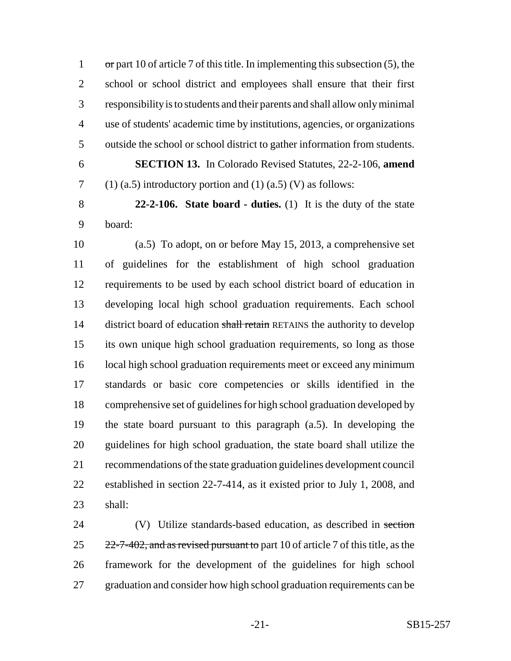or part 10 of article 7 of this title. In implementing this subsection (5), the school or school district and employees shall ensure that their first responsibility is to students and their parents and shall allow only minimal use of students' academic time by institutions, agencies, or organizations outside the school or school district to gather information from students.

 **SECTION 13.** In Colorado Revised Statutes, 22-2-106, **amend** 7 (1) (a.5) introductory portion and (1) (a.5) (V) as follows:

 **22-2-106. State board - duties.** (1) It is the duty of the state board:

 (a.5) To adopt, on or before May 15, 2013, a comprehensive set of guidelines for the establishment of high school graduation requirements to be used by each school district board of education in developing local high school graduation requirements. Each school 14 district board of education shall retain RETAINS the authority to develop its own unique high school graduation requirements, so long as those 16 local high school graduation requirements meet or exceed any minimum standards or basic core competencies or skills identified in the comprehensive set of guidelines for high school graduation developed by the state board pursuant to this paragraph (a.5). In developing the guidelines for high school graduation, the state board shall utilize the recommendations of the state graduation guidelines development council established in section 22-7-414, as it existed prior to July 1, 2008, and shall:

24 (V) Utilize standards-based education, as described in section  $25 \frac{22-7-402}{2}$ , and as revised pursuant to part 10 of article 7 of this title, as the framework for the development of the guidelines for high school 27 graduation and consider how high school graduation requirements can be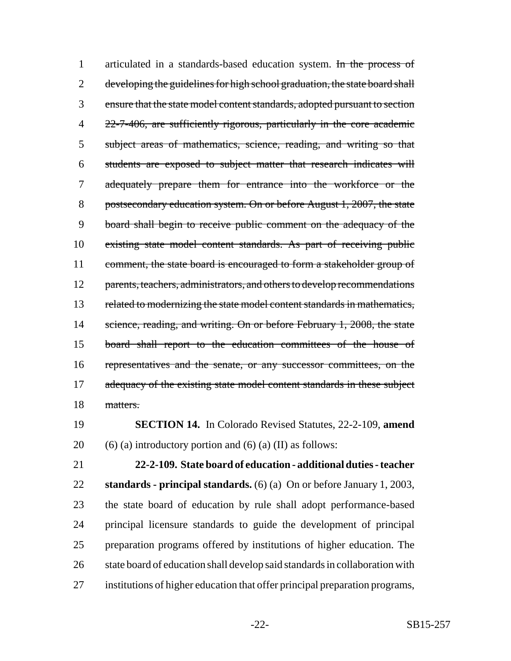1 articulated in a standards-based education system. In the process of 2 developing the guidelines for high school graduation, the state board shall 3 ensure that the state model content standards, adopted pursuant to section 4 22-7-406, are sufficiently rigorous, particularly in the core academic 5 subject areas of mathematics, science, reading, and writing so that 6 students are exposed to subject matter that research indicates will 7 adequately prepare them for entrance into the workforce or the 8 postsecondary education system. On or before August 1, 2007, the state 9 board shall begin to receive public comment on the adequacy of the 10 existing state model content standards. As part of receiving public 11 comment, the state board is encouraged to form a stakeholder group of 12 parents, teachers, administrators, and others to develop recommendations 13 related to modernizing the state model content standards in mathematics, 14 science, reading, and writing. On or before February 1, 2008, the state 15 board shall report to the education committees of the house of 16 representatives and the senate, or any successor committees, on the 17 adequacy of the existing state model content standards in these subject 18 matters.

19 **SECTION 14.** In Colorado Revised Statutes, 22-2-109, **amend** 20 (6) (a) introductory portion and (6) (a) (II) as follows:

 **22-2-109. State board of education - additional duties - teacher standards - principal standards.** (6) (a) On or before January 1, 2003, the state board of education by rule shall adopt performance-based principal licensure standards to guide the development of principal preparation programs offered by institutions of higher education. The 26 state board of education shall develop said standards in collaboration with institutions of higher education that offer principal preparation programs,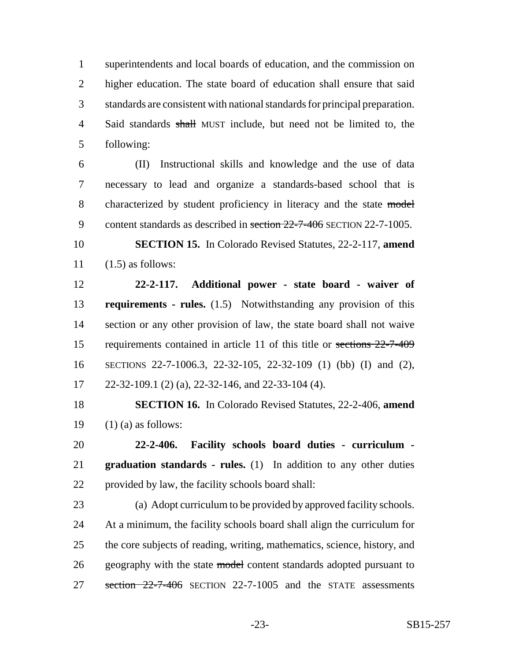superintendents and local boards of education, and the commission on higher education. The state board of education shall ensure that said standards are consistent with national standards for principal preparation. 4 Said standards shall MUST include, but need not be limited to, the following:

 (II) Instructional skills and knowledge and the use of data necessary to lead and organize a standards-based school that is 8 characterized by student proficiency in literacy and the state model 9 content standards as described in section 22-7-406 SECTION 22-7-1005.

 **SECTION 15.** In Colorado Revised Statutes, 22-2-117, **amend**  $11 \quad (1.5)$  as follows:

 **22-2-117. Additional power - state board - waiver of requirements - rules.** (1.5) Notwithstanding any provision of this section or any other provision of law, the state board shall not waive 15 requirements contained in article 11 of this title or sections  $22-7-409$  SECTIONS 22-7-1006.3, 22-32-105, 22-32-109 (1) (bb) (I) and (2), 22-32-109.1 (2) (a), 22-32-146, and 22-33-104 (4).

 **SECTION 16.** In Colorado Revised Statutes, 22-2-406, **amend** 19  $(1)$  (a) as follows:

 **22-2-406. Facility schools board duties - curriculum - graduation standards - rules.** (1) In addition to any other duties provided by law, the facility schools board shall:

 (a) Adopt curriculum to be provided by approved facility schools. At a minimum, the facility schools board shall align the curriculum for the core subjects of reading, writing, mathematics, science, history, and 26 geography with the state model content standards adopted pursuant to 27 section  $22-7-406$  SECTION 22-7-1005 and the STATE assessments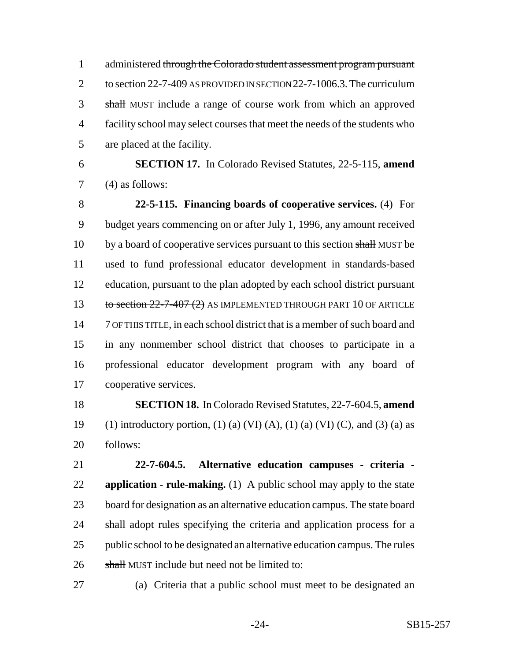administered through the Colorado student assessment program pursuant 2 to section -7-409 AS PROVIDED IN SECTION 22-7-1006.3. The curriculum shall MUST include a range of course work from which an approved facility school may select courses that meet the needs of the students who are placed at the facility.

 **SECTION 17.** In Colorado Revised Statutes, 22-5-115, **amend** (4) as follows:

 **22-5-115. Financing boards of cooperative services.** (4) For budget years commencing on or after July 1, 1996, any amount received 10 by a board of cooperative services pursuant to this section shall MUST be used to fund professional educator development in standards-based 12 education, pursuant to the plan adopted by each school district pursuant 13 to section -7-407 (2) AS IMPLEMENTED THROUGH PART 10 OF ARTICLE 7 OF THIS TITLE, in each school district that is a member of such board and in any nonmember school district that chooses to participate in a professional educator development program with any board of cooperative services.

 **SECTION 18.** In Colorado Revised Statutes, 22-7-604.5, **amend** 19 (1) introductory portion, (1) (a) (VI) (A), (1) (a) (VI) (C), and (3) (a) as follows:

 **22-7-604.5. Alternative education campuses - criteria - application - rule-making.** (1) A public school may apply to the state board for designation as an alternative education campus. The state board shall adopt rules specifying the criteria and application process for a public school to be designated an alternative education campus. The rules 26 shall MUST include but need not be limited to:

(a) Criteria that a public school must meet to be designated an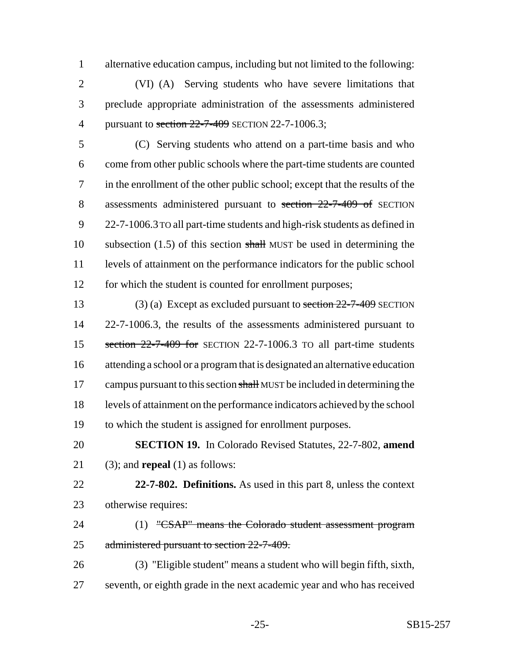alternative education campus, including but not limited to the following:

 (VI) (A) Serving students who have severe limitations that preclude appropriate administration of the assessments administered 4 pursuant to section 22-7-409 SECTION 22-7-1006.3;

 (C) Serving students who attend on a part-time basis and who come from other public schools where the part-time students are counted in the enrollment of the other public school; except that the results of the 8 assessments administered pursuant to section 22-7-409 of SECTION 22-7-1006.3 TO all part-time students and high-risk students as defined in 10 subsection  $(1.5)$  of this section shall MUST be used in determining the levels of attainment on the performance indicators for the public school 12 for which the student is counted for enrollment purposes;

13 (3) (a) Except as excluded pursuant to section  $22-7-409$  SECTION 22-7-1006.3, the results of the assessments administered pursuant to 15 section  $22-7-409$  for SECTION 22-7-1006.3 TO all part-time students attending a school or a program that is designated an alternative education 17 campus pursuant to this section shall MUST be included in determining the levels of attainment on the performance indicators achieved by the school to which the student is assigned for enrollment purposes.

 **SECTION 19.** In Colorado Revised Statutes, 22-7-802, **amend** (3); and **repeal** (1) as follows:

- **22-7-802. Definitions.** As used in this part 8, unless the context otherwise requires:
- 24 (1) "CSAP" means the Colorado student assessment program 25 administered pursuant to section 22-7-409.
- (3) "Eligible student" means a student who will begin fifth, sixth, seventh, or eighth grade in the next academic year and who has received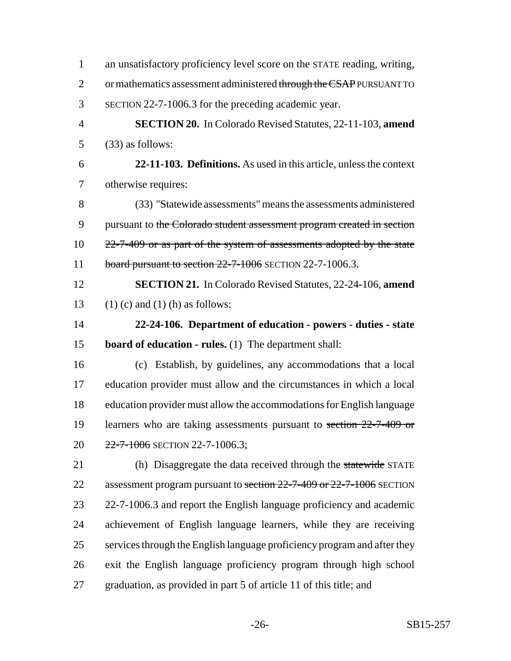| $\mathbf{1}$   | an unsatisfactory proficiency level score on the STATE reading, writing, |
|----------------|--------------------------------------------------------------------------|
| $\overline{2}$ | or mathematics assessment administered through the CSAP PURSUANT TO      |
| 3              | SECTION 22-7-1006.3 for the preceding academic year.                     |
| $\overline{4}$ | SECTION 20. In Colorado Revised Statutes, 22-11-103, amend               |
| 5              | $(33)$ as follows:                                                       |
| 6              | 22-11-103. Definitions. As used in this article, unless the context      |
| 7              | otherwise requires:                                                      |
| 8              | (33) "Statewide assessments" means the assessments administered          |
| 9              | pursuant to the Colorado student assessment program created in section   |
| 10             | $22$ -7-409 or as part of the system of assessments adopted by the state |
| 11             | board pursuant to section $22$ -7-1006 SECTION 22-7-1006.3.              |
| 12             | <b>SECTION 21.</b> In Colorado Revised Statutes, 22-24-106, amend        |
| 13             | $(1)$ (c) and $(1)$ (h) as follows:                                      |
| 14             | 22-24-106. Department of education - powers - duties - state             |
| 15             | <b>board of education - rules.</b> (1) The department shall:             |
| 16             | (c) Establish, by guidelines, any accommodations that a local            |
| 17             | education provider must allow and the circumstances in which a local     |
| 18             | education provider must allow the accommodations for English language    |
| 19             | learners who are taking assessments pursuant to section 22-7-409 or      |
| 20             | 22-7-1006 SECTION 22-7-1006.3;                                           |
| 21             | (h) Disaggregate the data received through the statewide STATE           |
| 22             | assessment program pursuant to section 22-7-409 or 22-7-1006 SECTION     |
| 23             | 22-7-1006.3 and report the English language proficiency and academic     |
| 24             | achievement of English language learners, while they are receiving       |
| 25             | services through the English language proficiency program and after they |
| 26             | exit the English language proficiency program through high school        |
| 27             | graduation, as provided in part 5 of article 11 of this title; and       |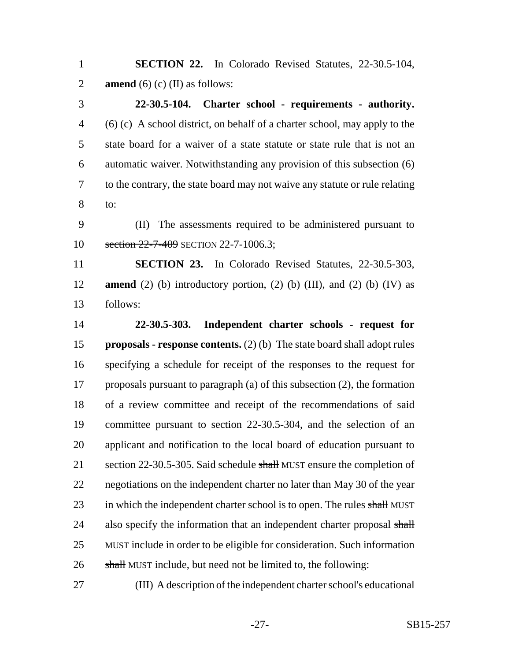**SECTION 22.** In Colorado Revised Statutes, 22-30.5-104, **amend** (6) (c) (II) as follows:

 **22-30.5-104. Charter school - requirements - authority.** (6) (c) A school district, on behalf of a charter school, may apply to the state board for a waiver of a state statute or state rule that is not an automatic waiver. Notwithstanding any provision of this subsection (6) to the contrary, the state board may not waive any statute or rule relating to:

 (II) The assessments required to be administered pursuant to 10 section 22-7-409 SECTION 22-7-1006.3;

 **SECTION 23.** In Colorado Revised Statutes, 22-30.5-303, **amend** (2) (b) introductory portion, (2) (b) (III), and (2) (b) (IV) as follows:

 **22-30.5-303. Independent charter schools - request for proposals - response contents.** (2) (b) The state board shall adopt rules specifying a schedule for receipt of the responses to the request for proposals pursuant to paragraph (a) of this subsection (2), the formation of a review committee and receipt of the recommendations of said committee pursuant to section 22-30.5-304, and the selection of an applicant and notification to the local board of education pursuant to 21 section 22-30.5-305. Said schedule shall MUST ensure the completion of negotiations on the independent charter no later than May 30 of the year 23 in which the independent charter school is to open. The rules shall MUST 24 also specify the information that an independent charter proposal shall MUST include in order to be eligible for consideration. Such information 26 shall MUST include, but need not be limited to, the following:

(III) A description of the independent charter school's educational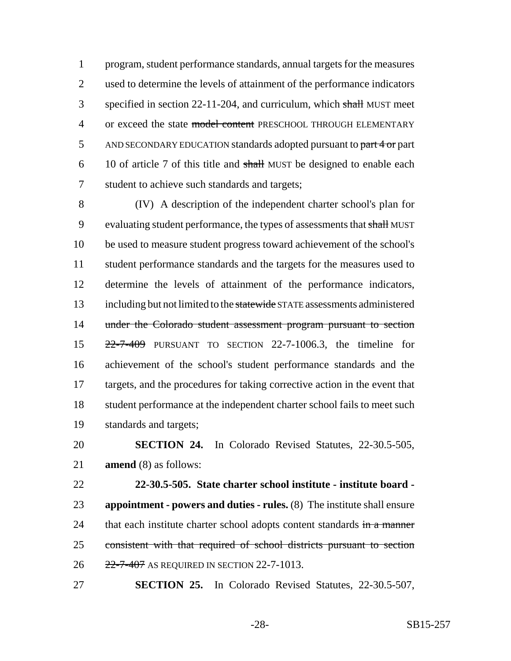program, student performance standards, annual targets for the measures used to determine the levels of attainment of the performance indicators 3 specified in section 22-11-204, and curriculum, which shall MUST meet 4 or exceed the state model content PRESCHOOL THROUGH ELEMENTARY 5 AND SECONDARY EDUCATION standards adopted pursuant to part 4 or part 10 of article 7 of this title and shall MUST be designed to enable each student to achieve such standards and targets;

 (IV) A description of the independent charter school's plan for 9 evaluating student performance, the types of assessments that shall MUST be used to measure student progress toward achievement of the school's student performance standards and the targets for the measures used to determine the levels of attainment of the performance indicators, 13 including but not limited to the statewide STATE assessments administered 14 under the Colorado student assessment program pursuant to section 22-7-409 PURSUANT TO SECTION 22-7-1006.3, the timeline for achievement of the school's student performance standards and the targets, and the procedures for taking corrective action in the event that 18 student performance at the independent charter school fails to meet such standards and targets;

 **SECTION 24.** In Colorado Revised Statutes, 22-30.5-505, **amend** (8) as follows:

 **22-30.5-505. State charter school institute - institute board - appointment - powers and duties - rules.** (8) The institute shall ensure 24 that each institute charter school adopts content standards in a manner consistent with that required of school districts pursuant to section 26 22-7-407 AS REQUIRED IN SECTION 22-7-1013.

**SECTION 25.** In Colorado Revised Statutes, 22-30.5-507,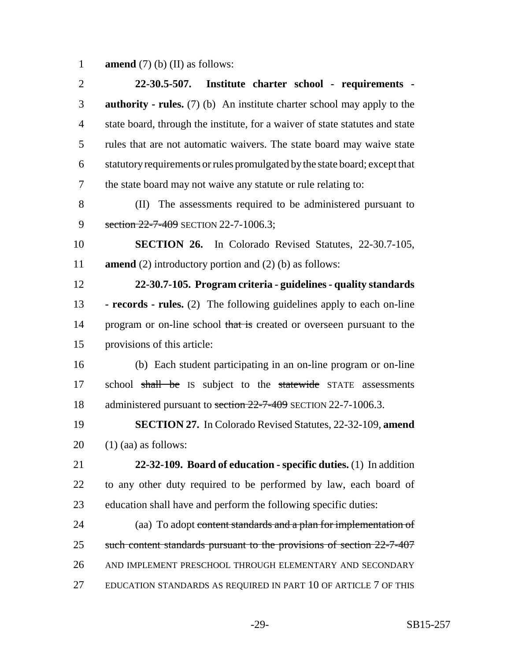**amend** (7) (b) (II) as follows:

| $\overline{2}$ | 22-30.5-507. Institute charter school - requirements -                              |
|----------------|-------------------------------------------------------------------------------------|
| 3              | <b>authority</b> - rules. $(7)$ (b) An institute charter school may apply to the    |
| $\overline{4}$ | state board, through the institute, for a waiver of state statutes and state        |
| 5              | rules that are not automatic waivers. The state board may waive state               |
| 6              | statutory requirements or rules promulgated by the state board; except that         |
| 7              | the state board may not waive any statute or rule relating to:                      |
| 8              | (II) The assessments required to be administered pursuant to                        |
| 9              | section $22-7-409$ SECTION 22-7-1006.3;                                             |
| 10             | <b>SECTION 26.</b> In Colorado Revised Statutes, 22-30.7-105,                       |
| 11             | <b>amend</b> (2) introductory portion and (2) (b) as follows:                       |
| 12             | 22-30.7-105. Program criteria - guidelines - quality standards                      |
| 13             | - <b>records</b> - <b>rules.</b> (2) The following guidelines apply to each on-line |
| 14             | program or on-line school that is created or overseen pursuant to the               |
| 15             | provisions of this article:                                                         |
| 16             | (b) Each student participating in an on-line program or on-line                     |
| 17             | school shall be IS subject to the statewide STATE assessments                       |
| 18             | administered pursuant to section 22-7-409 SECTION 22-7-1006.3.                      |
| 19             | <b>SECTION 27.</b> In Colorado Revised Statutes, 22-32-109, amend                   |
| 20             | $(1)$ (aa) as follows:                                                              |
| 21             | 22-32-109. Board of education - specific duties. (1) In addition                    |
| 22             | to any other duty required to be performed by law, each board of                    |
| 23             | education shall have and perform the following specific duties:                     |
| 24             | (aa) To adopt content standards and a plan for implementation of                    |
| 25             | such content standards pursuant to the provisions of section 22-7-407               |
| 26             | AND IMPLEMENT PRESCHOOL THROUGH ELEMENTARY AND SECONDARY                            |
| 27             | EDUCATION STANDARDS AS REQUIRED IN PART 10 OF ARTICLE 7 OF THIS                     |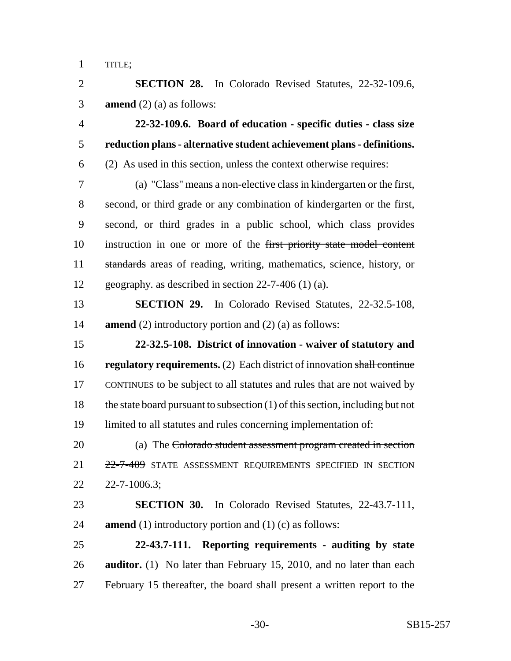TITLE;

 **SECTION 28.** In Colorado Revised Statutes, 22-32-109.6, **amend** (2) (a) as follows:

 **22-32-109.6. Board of education - specific duties - class size reduction plans - alternative student achievement plans - definitions.** (2) As used in this section, unless the context otherwise requires:

 (a) "Class" means a non-elective class in kindergarten or the first, second, or third grade or any combination of kindergarten or the first, second, or third grades in a public school, which class provides instruction in one or more of the first priority state model content standards areas of reading, writing, mathematics, science, history, or 12 geography. as described in section -7-406 (1) (a).

 **SECTION 29.** In Colorado Revised Statutes, 22-32.5-108, **amend** (2) introductory portion and (2) (a) as follows:

 **22-32.5-108. District of innovation - waiver of statutory and regulatory requirements.** (2) Each district of innovation shall continue CONTINUES to be subject to all statutes and rules that are not waived by the state board pursuant to subsection (1) of this section, including but not limited to all statutes and rules concerning implementation of:

 (a) The Colorado student assessment program created in section 22-7-409 STATE ASSESSMENT REQUIREMENTS SPECIFIED IN SECTION 22-7-1006.3;

 **SECTION 30.** In Colorado Revised Statutes, 22-43.7-111, **amend** (1) introductory portion and (1) (c) as follows:

 **22-43.7-111. Reporting requirements - auditing by state auditor.** (1) No later than February 15, 2010, and no later than each February 15 thereafter, the board shall present a written report to the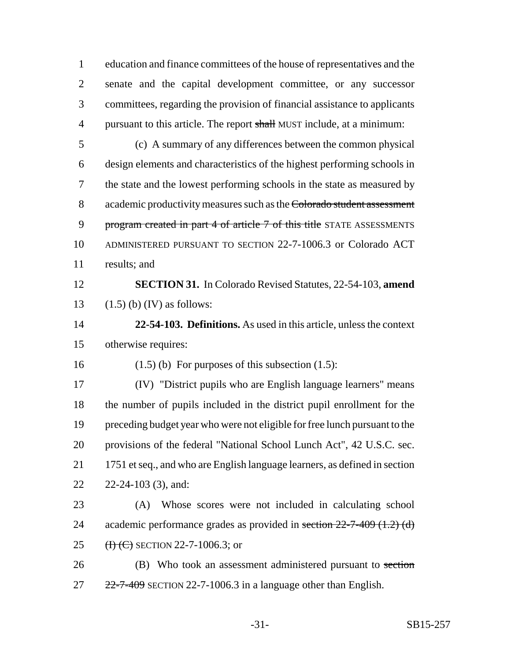education and finance committees of the house of representatives and the senate and the capital development committee, or any successor committees, regarding the provision of financial assistance to applicants 4 pursuant to this article. The report shall MUST include, at a minimum:

 (c) A summary of any differences between the common physical design elements and characteristics of the highest performing schools in the state and the lowest performing schools in the state as measured by 8 academic productivity measures such as the Colorado student assessment 9 program created in part 4 of article 7 of this title STATE ASSESSMENTS ADMINISTERED PURSUANT TO SECTION 22-7-1006.3 or Colorado ACT results; and

 **SECTION 31.** In Colorado Revised Statutes, 22-54-103, **amend** 13  $(1.5)$  (b) (IV) as follows:

 **22-54-103. Definitions.** As used in this article, unless the context otherwise requires:

16 (1.5) (b) For purposes of this subsection  $(1.5)$ :

 (IV) "District pupils who are English language learners" means the number of pupils included in the district pupil enrollment for the preceding budget year who were not eligible for free lunch pursuant to the provisions of the federal "National School Lunch Act", 42 U.S.C. sec. 1751 et seq., and who are English language learners, as defined in section 22-24-103 (3), and:

 (A) Whose scores were not included in calculating school 24 academic performance grades as provided in section -7-409  $(1.2)$  (d) 25 (H) (C) SECTION 22-7-1006.3; or

26 (B) Who took an assessment administered pursuant to section  $27 \frac{22-7-409}{2}$  SECTION 22-7-1006.3 in a language other than English.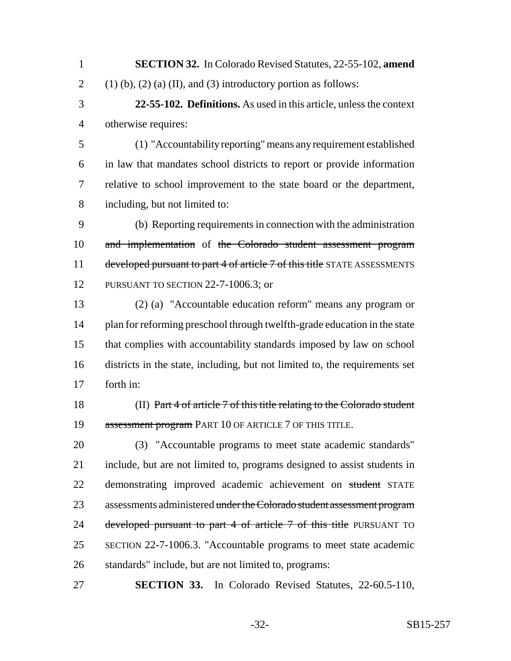**SECTION 32.** In Colorado Revised Statutes, 22-55-102, **amend** 2 (1) (b), (2) (a) (II), and (3) introductory portion as follows:

 **22-55-102. Definitions.** As used in this article, unless the context otherwise requires:

 (1) "Accountability reporting" means any requirement established in law that mandates school districts to report or provide information relative to school improvement to the state board or the department, including, but not limited to:

 (b) Reporting requirements in connection with the administration 10 and implementation of the Colorado student assessment program 11 developed pursuant to part 4 of article 7 of this title STATE ASSESSMENTS 12 PURSUANT TO SECTION 22-7-1006.3; or

 (2) (a) "Accountable education reform" means any program or 14 plan for reforming preschool through twelfth-grade education in the state that complies with accountability standards imposed by law on school districts in the state, including, but not limited to, the requirements set forth in:

 (II) Part 4 of article 7 of this title relating to the Colorado student 19 assessment program PART 10 OF ARTICLE 7 OF THIS TITLE.

 (3) "Accountable programs to meet state academic standards" include, but are not limited to, programs designed to assist students in 22 demonstrating improved academic achievement on student STATE 23 assessments administered under the Colorado student assessment program 24 developed pursuant to part 4 of article 7 of this title PURSUANT TO SECTION 22-7-1006.3. "Accountable programs to meet state academic standards" include, but are not limited to, programs:

**SECTION 33.** In Colorado Revised Statutes, 22-60.5-110,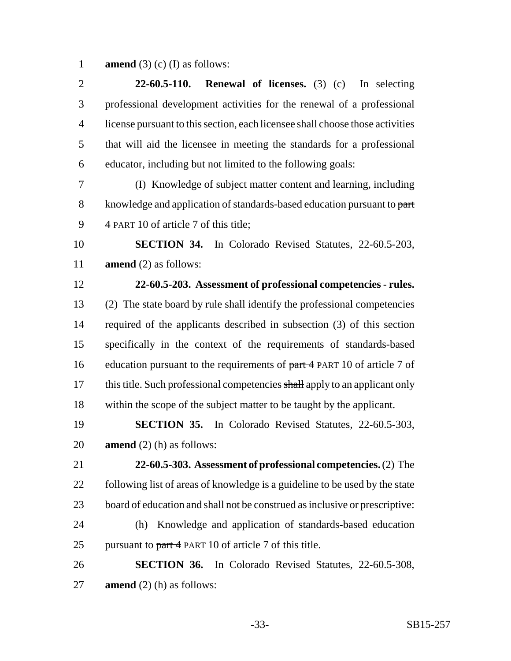**amend** (3) (c) (I) as follows:

 **22-60.5-110. Renewal of licenses.** (3) (c) In selecting professional development activities for the renewal of a professional license pursuant to this section, each licensee shall choose those activities that will aid the licensee in meeting the standards for a professional educator, including but not limited to the following goals:

 (I) Knowledge of subject matter content and learning, including 8 knowledge and application of standards-based education pursuant to part 4 PART 10 of article 7 of this title;

 **SECTION 34.** In Colorado Revised Statutes, 22-60.5-203, **amend** (2) as follows:

# **22-60.5-203. Assessment of professional competencies - rules.** (2) The state board by rule shall identify the professional competencies

 required of the applicants described in subsection (3) of this section specifically in the context of the requirements of standards-based 16 education pursuant to the requirements of part 4 PART 10 of article 7 of 17 this title. Such professional competencies shall apply to an applicant only within the scope of the subject matter to be taught by the applicant.

 **SECTION 35.** In Colorado Revised Statutes, 22-60.5-303, **amend** (2) (h) as follows:

 **22-60.5-303. Assessment of professional competencies.** (2) The following list of areas of knowledge is a guideline to be used by the state board of education and shall not be construed as inclusive or prescriptive:

 (h) Knowledge and application of standards-based education 25 pursuant to  $part 4$  PART 10 of article 7 of this title.

 **SECTION 36.** In Colorado Revised Statutes, 22-60.5-308, **amend** (2) (h) as follows: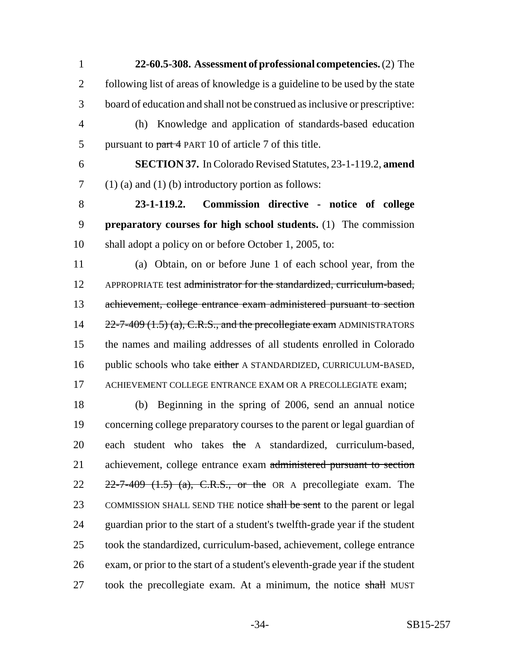**22-60.5-308. Assessment of professional competencies.** (2) The following list of areas of knowledge is a guideline to be used by the state board of education and shall not be construed as inclusive or prescriptive: (h) Knowledge and application of standards-based education 5 pursuant to part 4 PART 10 of article 7 of this title.

6 **SECTION 37.** In Colorado Revised Statutes, 23-1-119.2, **amend**  $7 \quad (1)$  (a) and (1) (b) introductory portion as follows:

8 **23-1-119.2. Commission directive - notice of college** 9 **preparatory courses for high school students.** (1) The commission 10 shall adopt a policy on or before October 1, 2005, to:

11 (a) Obtain, on or before June 1 of each school year, from the 12 APPROPRIATE test administrator for the standardized, curriculum-based, 13 achievement, college entrance exam administered pursuant to section 14  $22-7-409$  (1.5) (a), C.R.S., and the precollegiate exam ADMINISTRATORS 15 the names and mailing addresses of all students enrolled in Colorado 16 public schools who take either A STANDARDIZED, CURRICULUM-BASED, 17 ACHIEVEMENT COLLEGE ENTRANCE EXAM OR A PRECOLLEGIATE exam;

18 (b) Beginning in the spring of 2006, send an annual notice 19 concerning college preparatory courses to the parent or legal guardian of 20 each student who takes the A standardized, curriculum-based, 21 achievement, college entrance exam administered pursuant to section  $22 \quad 22\text{-}7\text{-}409 \quad (1.5)$  (a), C.R.S., or the OR A precollegiate exam. The 23 COMMISSION SHALL SEND THE notice shall be sent to the parent or legal 24 guardian prior to the start of a student's twelfth-grade year if the student 25 took the standardized, curriculum-based, achievement, college entrance 26 exam, or prior to the start of a student's eleventh-grade year if the student 27 took the precollegiate exam. At a minimum, the notice shall MUST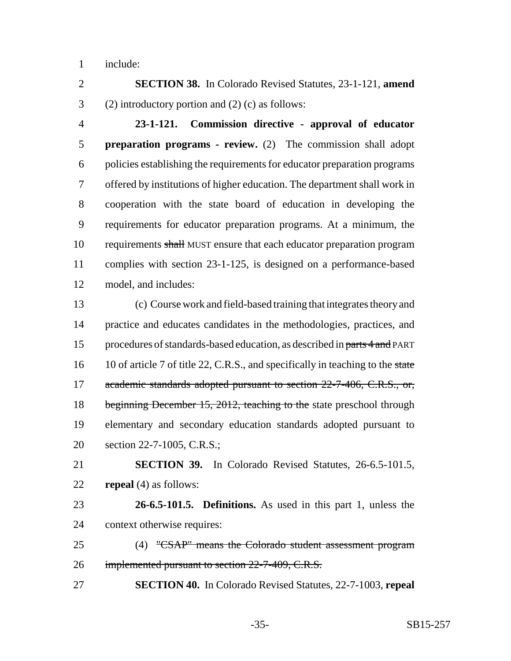include:

 **SECTION 38.** In Colorado Revised Statutes, 23-1-121, **amend** (2) introductory portion and (2) (c) as follows:

 **23-1-121. Commission directive - approval of educator preparation programs - review.** (2) The commission shall adopt policies establishing the requirements for educator preparation programs offered by institutions of higher education. The department shall work in cooperation with the state board of education in developing the requirements for educator preparation programs. At a minimum, the 10 requirements shall MUST ensure that each educator preparation program complies with section 23-1-125, is designed on a performance-based model, and includes:

 (c) Course work and field-based training that integrates theory and practice and educates candidates in the methodologies, practices, and 15 procedures of standards-based education, as described in parts 4 and PART 16 10 of article 7 of title 22, C.R.S., and specifically in teaching to the state 17 academic standards adopted pursuant to section 22-7-406, C.R.S., or, 18 beginning December 15, 2012, teaching to the state preschool through elementary and secondary education standards adopted pursuant to section 22-7-1005, C.R.S.;

 **SECTION 39.** In Colorado Revised Statutes, 26-6.5-101.5, **repeal** (4) as follows:

 **26-6.5-101.5. Definitions.** As used in this part 1, unless the context otherwise requires:

 (4) "CSAP" means the Colorado student assessment program 26 implemented pursuant to section 22-7-409, C.R.S.

**SECTION 40.** In Colorado Revised Statutes, 22-7-1003, **repeal**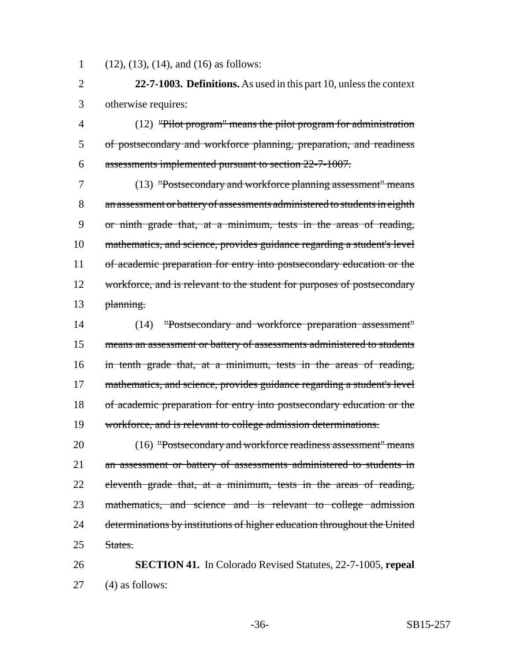(12), (13), (14), and (16) as follows:

 **22-7-1003. Definitions.** As used in this part 10, unless the context otherwise requires:

 (12) "Pilot program" means the pilot program for administration of postsecondary and workforce planning, preparation, and readiness assessments implemented pursuant to section 22-7-1007.

 (13) "Postsecondary and workforce planning assessment" means an assessment or battery of assessments administered to students in eighth or ninth grade that, at a minimum, tests in the areas of reading, mathematics, and science, provides guidance regarding a student's level 11 of academic preparation for entry into postsecondary education or the 12 workforce, and is relevant to the student for purposes of postsecondary 13 planning.

 (14) "Postsecondary and workforce preparation assessment" 15 means an assessment or battery of assessments administered to students in tenth grade that, at a minimum, tests in the areas of reading, 17 mathematics, and science, provides guidance regarding a student's level of academic preparation for entry into postsecondary education or the workforce, and is relevant to college admission determinations.

 (16) "Postsecondary and workforce readiness assessment" means an assessment or battery of assessments administered to students in 22 eleventh grade that, at a minimum, tests in the areas of reading, mathematics, and science and is relevant to college admission 24 determinations by institutions of higher education throughout the United States.

 **SECTION 41.** In Colorado Revised Statutes, 22-7-1005, **repeal** (4) as follows: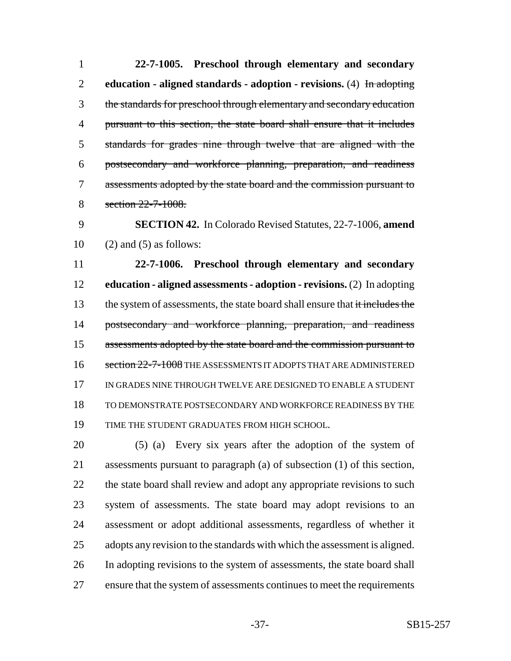**22-7-1005. Preschool through elementary and secondary education - aligned standards - adoption - revisions.** (4) In adopting the standards for preschool through elementary and secondary education 4 pursuant to this section, the state board shall ensure that it includes standards for grades nine through twelve that are aligned with the postsecondary and workforce planning, preparation, and readiness assessments adopted by the state board and the commission pursuant to 8 section 22-7-1008.

 **SECTION 42.** In Colorado Revised Statutes, 22-7-1006, **amend** 10 (2) and (5) as follows:

 **22-7-1006. Preschool through elementary and secondary education - aligned assessments - adoption - revisions.** (2) In adopting 13 the system of assessments, the state board shall ensure that it includes the 14 postsecondary and workforce planning, preparation, and readiness 15 assessments adopted by the state board and the commission pursuant to 16 section 22-7-1008 THE ASSESSMENTS IT ADOPTS THAT ARE ADMINISTERED IN GRADES NINE THROUGH TWELVE ARE DESIGNED TO ENABLE A STUDENT TO DEMONSTRATE POSTSECONDARY AND WORKFORCE READINESS BY THE TIME THE STUDENT GRADUATES FROM HIGH SCHOOL.

 (5) (a) Every six years after the adoption of the system of assessments pursuant to paragraph (a) of subsection (1) of this section, 22 the state board shall review and adopt any appropriate revisions to such system of assessments. The state board may adopt revisions to an assessment or adopt additional assessments, regardless of whether it adopts any revision to the standards with which the assessment is aligned. In adopting revisions to the system of assessments, the state board shall ensure that the system of assessments continues to meet the requirements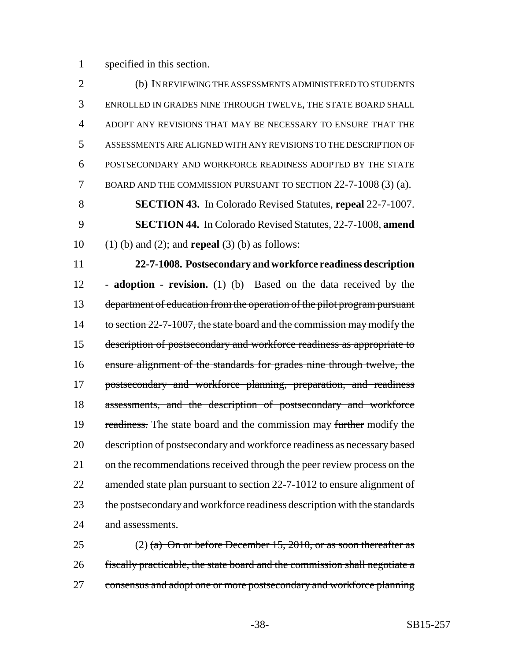specified in this section.

 (b) IN REVIEWING THE ASSESSMENTS ADMINISTERED TO STUDENTS ENROLLED IN GRADES NINE THROUGH TWELVE, THE STATE BOARD SHALL ADOPT ANY REVISIONS THAT MAY BE NECESSARY TO ENSURE THAT THE ASSESSMENTS ARE ALIGNED WITH ANY REVISIONS TO THE DESCRIPTION OF POSTSECONDARY AND WORKFORCE READINESS ADOPTED BY THE STATE BOARD AND THE COMMISSION PURSUANT TO SECTION 22-7-1008 (3) (a). **SECTION 43.** In Colorado Revised Statutes, **repeal** 22-7-1007. **SECTION 44.** In Colorado Revised Statutes, 22-7-1008, **amend** (1) (b) and (2); and **repeal** (3) (b) as follows:

 **22-7-1008. Postsecondary and workforce readiness description - adoption - revision.** (1) (b) Based on the data received by the 13 department of education from the operation of the pilot program pursuant 14 to section 22-7-1007, the state board and the commission may modify the description of postsecondary and workforce readiness as appropriate to ensure alignment of the standards for grades nine through twelve, the 17 postsecondary and workforce planning, preparation, and readiness assessments, and the description of postsecondary and workforce 19 readiness. The state board and the commission may further modify the description of postsecondary and workforce readiness as necessary based on the recommendations received through the peer review process on the 22 amended state plan pursuant to section 22-7-1012 to ensure alignment of the postsecondary and workforce readiness description with the standards and assessments.

25 (2) (a) On or before December 15, 2010, or as soon thereafter as fiscally practicable, the state board and the commission shall negotiate a consensus and adopt one or more postsecondary and workforce planning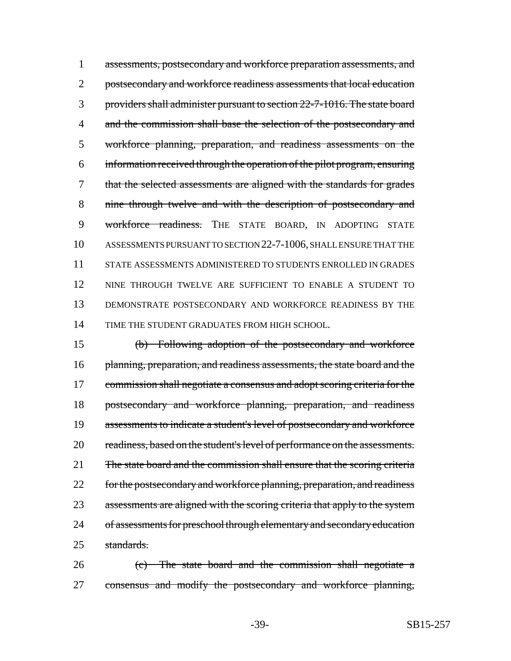assessments, postsecondary and workforce preparation assessments, and 2 postsecondary and workforce readiness assessments that local education providers shall administer pursuant to section 22-7-1016. The state board 4 and the commission shall base the selection of the postsecondary and workforce planning, preparation, and readiness assessments on the information received through the operation of the pilot program, ensuring that the selected assessments are aligned with the standards for grades nine through twelve and with the description of postsecondary and 9 workforce readiness. THE STATE BOARD, IN ADOPTING STATE ASSESSMENTS PURSUANT TO SECTION 22-7-1006, SHALL ENSURE THAT THE STATE ASSESSMENTS ADMINISTERED TO STUDENTS ENROLLED IN GRADES NINE THROUGH TWELVE ARE SUFFICIENT TO ENABLE A STUDENT TO DEMONSTRATE POSTSECONDARY AND WORKFORCE READINESS BY THE TIME THE STUDENT GRADUATES FROM HIGH SCHOOL.

15 (b) Following adoption of the postsecondary and workforce 16 planning, preparation, and readiness assessments, the state board and the 17 commission shall negotiate a consensus and adopt scoring criteria for the 18 postsecondary and workforce planning, preparation, and readiness 19 assessments to indicate a student's level of postsecondary and workforce 20 readiness, based on the student's level of performance on the assessments. 21 The state board and the commission shall ensure that the scoring criteria 22 for the postsecondary and workforce planning, preparation, and readiness 23 assessments are aligned with the scoring criteria that apply to the system 24 of assessments for preschool through elementary and secondary education 25 standards.

26 (c) The state board and the commission shall negotiate a 27 consensus and modify the postsecondary and workforce planning,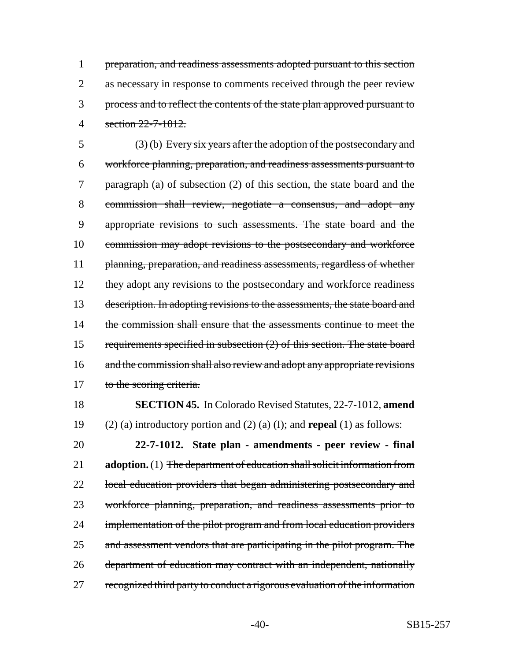1 preparation, and readiness assessments adopted pursuant to this section 2 as necessary in response to comments received through the peer review 3 process and to reflect the contents of the state plan approved pursuant to 4 section 22-7-1012.

5 (3) (b) Every six years after the adoption of the postsecondary and 6 workforce planning, preparation, and readiness assessments pursuant to 7 paragraph (a) of subsection (2) of this section, the state board and the 8 commission shall review, negotiate a consensus, and adopt any 9 appropriate revisions to such assessments. The state board and the 10 commission may adopt revisions to the postsecondary and workforce 11 planning, preparation, and readiness assessments, regardless of whether 12 they adopt any revisions to the postsecondary and workforce readiness 13 description. In adopting revisions to the assessments, the state board and 14 the commission shall ensure that the assessments continue to meet the 15 requirements specified in subsection (2) of this section. The state board 16 and the commission shall also review and adopt any appropriate revisions 17 to the scoring criteria.

18 **SECTION 45.** In Colorado Revised Statutes, 22-7-1012, **amend** 19 (2) (a) introductory portion and (2) (a) (I); and **repeal** (1) as follows:

20 **22-7-1012. State plan - amendments - peer review - final** 21 **adoption.** (1) The department of education shall solicit information from 22 local education providers that began administering postsecondary and 23 workforce planning, preparation, and readiness assessments prior to 24 implementation of the pilot program and from local education providers 25 and assessment vendors that are participating in the pilot program. The 26 department of education may contract with an independent, nationally 27 recognized third party to conduct a rigorous evaluation of the information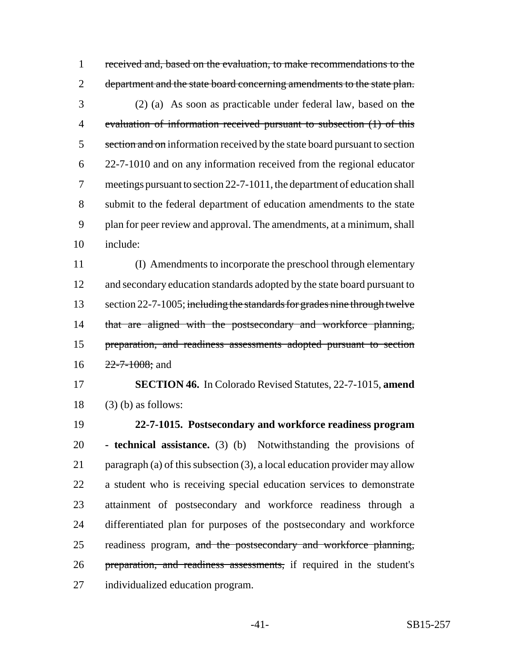received and, based on the evaluation, to make recommendations to the 2 department and the state board concerning amendments to the state plan. (2) (a) As soon as practicable under federal law, based on the evaluation of information received pursuant to subsection (1) of this 5 section and on information received by the state board pursuant to section 22-7-1010 and on any information received from the regional educator meetings pursuant to section 22-7-1011, the department of education shall submit to the federal department of education amendments to the state plan for peer review and approval. The amendments, at a minimum, shall include:

 (I) Amendments to incorporate the preschool through elementary 12 and secondary education standards adopted by the state board pursuant to 13 section 22-7-1005; including the standards for grades nine through twelve 14 that are aligned with the postsecondary and workforce planning, preparation, and readiness assessments adopted pursuant to section  $16 \t 22 - 7 - 1008$ ; and

 **SECTION 46.** In Colorado Revised Statutes, 22-7-1015, **amend** (3) (b) as follows:

 **22-7-1015. Postsecondary and workforce readiness program - technical assistance.** (3) (b) Notwithstanding the provisions of paragraph (a) of this subsection (3), a local education provider may allow a student who is receiving special education services to demonstrate attainment of postsecondary and workforce readiness through a differentiated plan for purposes of the postsecondary and workforce 25 readiness program, and the postsecondary and workforce planning, 26 preparation, and readiness assessments, if required in the student's individualized education program.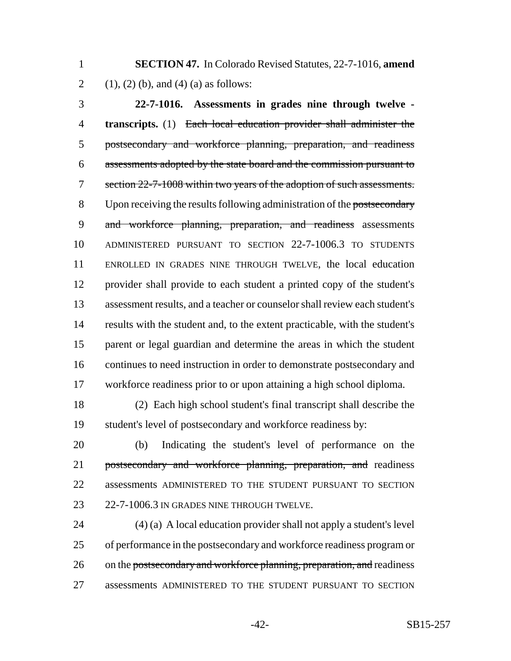**SECTION 47.** In Colorado Revised Statutes, 22-7-1016, **amend** 2 (1), (2) (b), and (4) (a) as follows:

 **22-7-1016. Assessments in grades nine through twelve - transcripts.** (1) Each local education provider shall administer the postsecondary and workforce planning, preparation, and readiness assessments adopted by the state board and the commission pursuant to 7 section 22-7-1008 within two years of the adoption of such assessments. 8 Upon receiving the results following administration of the postsecondary and workforce planning, preparation, and readiness assessments ADMINISTERED PURSUANT TO SECTION 22-7-1006.3 TO STUDENTS ENROLLED IN GRADES NINE THROUGH TWELVE, the local education provider shall provide to each student a printed copy of the student's assessment results, and a teacher or counselor shall review each student's results with the student and, to the extent practicable, with the student's parent or legal guardian and determine the areas in which the student continues to need instruction in order to demonstrate postsecondary and workforce readiness prior to or upon attaining a high school diploma.

 (2) Each high school student's final transcript shall describe the student's level of postsecondary and workforce readiness by:

 (b) Indicating the student's level of performance on the 21 postsecondary and workforce planning, preparation, and readiness 22 assessments ADMINISTERED TO THE STUDENT PURSUANT TO SECTION 22-7-1006.3 IN GRADES NINE THROUGH TWELVE.

 (4) (a) A local education provider shall not apply a student's level of performance in the postsecondary and workforce readiness program or 26 on the postsecondary and workforce planning, preparation, and readiness assessments ADMINISTERED TO THE STUDENT PURSUANT TO SECTION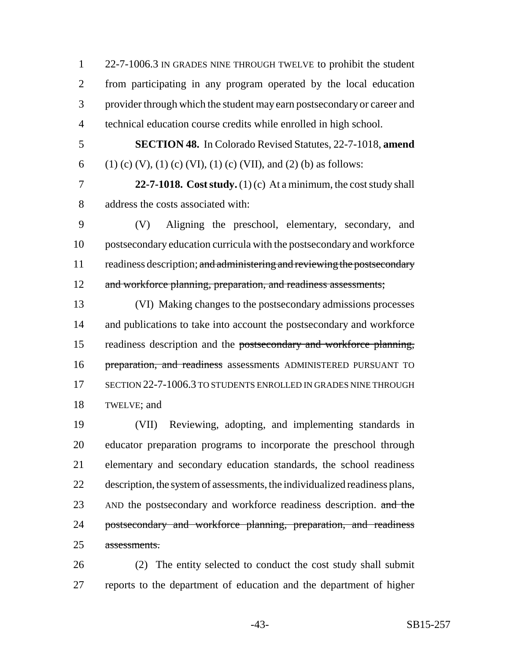22-7-1006.3 IN GRADES NINE THROUGH TWELVE to prohibit the student from participating in any program operated by the local education provider through which the student may earn postsecondary or career and technical education course credits while enrolled in high school.

 **SECTION 48.** In Colorado Revised Statutes, 22-7-1018, **amend** 6 (1) (c) (V), (1) (c) (VI), (1) (c) (VII), and (2) (b) as follows:

 **22-7-1018. Cost study.** (1) (c) At a minimum, the cost study shall address the costs associated with:

 (V) Aligning the preschool, elementary, secondary, and postsecondary education curricula with the postsecondary and workforce 11 readiness description; and administering and reviewing the postsecondary 12 and workforce planning, preparation, and readiness assessments;

 (VI) Making changes to the postsecondary admissions processes 14 and publications to take into account the postsecondary and workforce readiness description and the postsecondary and workforce planning, 16 preparation, and readiness assessments ADMINISTERED PURSUANT TO SECTION 22-7-1006.3 TO STUDENTS ENROLLED IN GRADES NINE THROUGH TWELVE; and

 (VII) Reviewing, adopting, and implementing standards in educator preparation programs to incorporate the preschool through elementary and secondary education standards, the school readiness description, the system of assessments, the individualized readiness plans, 23 AND the postsecondary and workforce readiness description. and the 24 postsecondary and workforce planning, preparation, and readiness assessments.

 (2) The entity selected to conduct the cost study shall submit reports to the department of education and the department of higher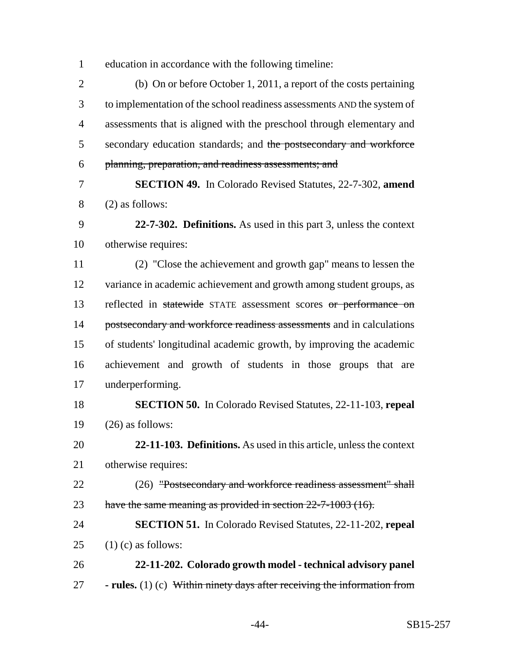education in accordance with the following timeline:

 (b) On or before October 1, 2011, a report of the costs pertaining to implementation of the school readiness assessments AND the system of assessments that is aligned with the preschool through elementary and 5 secondary education standards; and the postsecondary and workforce planning, preparation, and readiness assessments; and

 **SECTION 49.** In Colorado Revised Statutes, 22-7-302, **amend** (2) as follows:

 **22-7-302. Definitions.** As used in this part 3, unless the context otherwise requires:

 (2) "Close the achievement and growth gap" means to lessen the variance in academic achievement and growth among student groups, as 13 reflected in statewide STATE assessment scores or performance on 14 postsecondary and workforce readiness assessments and in calculations of students' longitudinal academic growth, by improving the academic achievement and growth of students in those groups that are underperforming.

 **SECTION 50.** In Colorado Revised Statutes, 22-11-103, **repeal** (26) as follows:

 **22-11-103. Definitions.** As used in this article, unless the context otherwise requires:

22 (26) "Postsecondary and workforce readiness assessment" shall 23 have the same meaning as provided in section 22-7-1003 (16).

 **SECTION 51.** In Colorado Revised Statutes, 22-11-202, **repeal** 25  $(1)$  (c) as follows:

 **22-11-202. Colorado growth model - technical advisory panel - rules.** (1) (c) Within ninety days after receiving the information from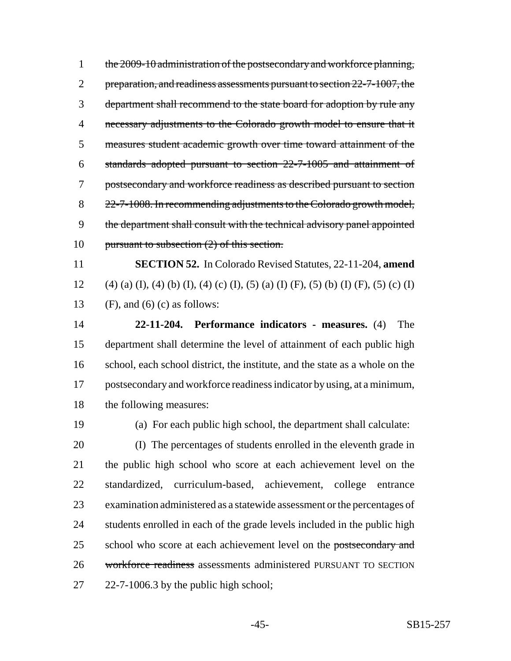1 the 2009-10 administration of the postsecondary and workforce planning, 2 preparation, and readiness assessments pursuant to section 22-7-1007, the department shall recommend to the state board for adoption by rule any necessary adjustments to the Colorado growth model to ensure that it measures student academic growth over time toward attainment of the standards adopted pursuant to section 22-7-1005 and attainment of postsecondary and workforce readiness as described pursuant to section 8 22-7-1008. In recommending adjustments to the Colorado growth model, 9 the department shall consult with the technical advisory panel appointed pursuant to subsection (2) of this section.

 **SECTION 52.** In Colorado Revised Statutes, 22-11-204, **amend** 12 (4) (a) (I), (4) (b) (I), (4) (c) (I), (5) (a) (I) (F), (5) (b) (I) (F), (5) (c) (I) 13 (F), and (6) (c) as follows:

 **22-11-204. Performance indicators - measures.** (4) The department shall determine the level of attainment of each public high school, each school district, the institute, and the state as a whole on the postsecondary and workforce readiness indicator by using, at a minimum, the following measures:

(a) For each public high school, the department shall calculate:

 (I) The percentages of students enrolled in the eleventh grade in the public high school who score at each achievement level on the standardized, curriculum-based, achievement, college entrance examination administered as a statewide assessment or the percentages of 24 students enrolled in each of the grade levels included in the public high 25 school who score at each achievement level on the postsecondary and 26 workforce readiness assessments administered PURSUANT TO SECTION 27 22-7-1006.3 by the public high school;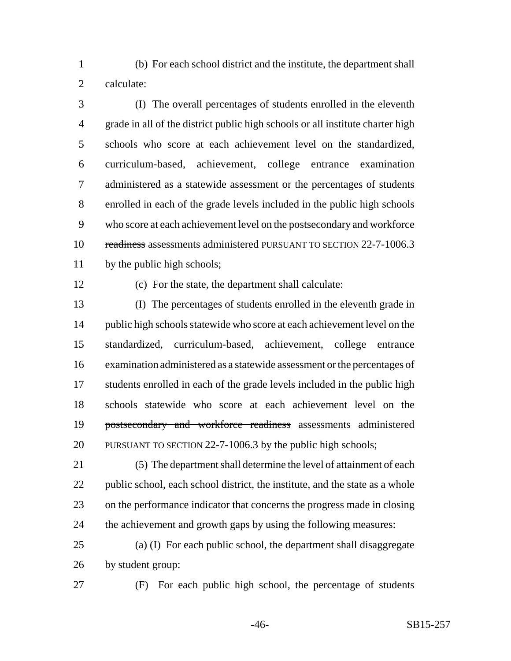(b) For each school district and the institute, the department shall calculate:

 (I) The overall percentages of students enrolled in the eleventh grade in all of the district public high schools or all institute charter high schools who score at each achievement level on the standardized, curriculum-based, achievement, college entrance examination administered as a statewide assessment or the percentages of students enrolled in each of the grade levels included in the public high schools 9 who score at each achievement level on the postsecondary and workforce readiness assessments administered PURSUANT TO SECTION 22-7-1006.3 by the public high schools;

(c) For the state, the department shall calculate:

 (I) The percentages of students enrolled in the eleventh grade in 14 public high schools statewide who score at each achievement level on the standardized, curriculum-based, achievement, college entrance examination administered as a statewide assessment or the percentages of students enrolled in each of the grade levels included in the public high schools statewide who score at each achievement level on the postsecondary and workforce readiness assessments administered PURSUANT TO SECTION 22-7-1006.3 by the public high schools;

 (5) The department shall determine the level of attainment of each public school, each school district, the institute, and the state as a whole on the performance indicator that concerns the progress made in closing the achievement and growth gaps by using the following measures:

 (a) (I) For each public school, the department shall disaggregate by student group:

(F) For each public high school, the percentage of students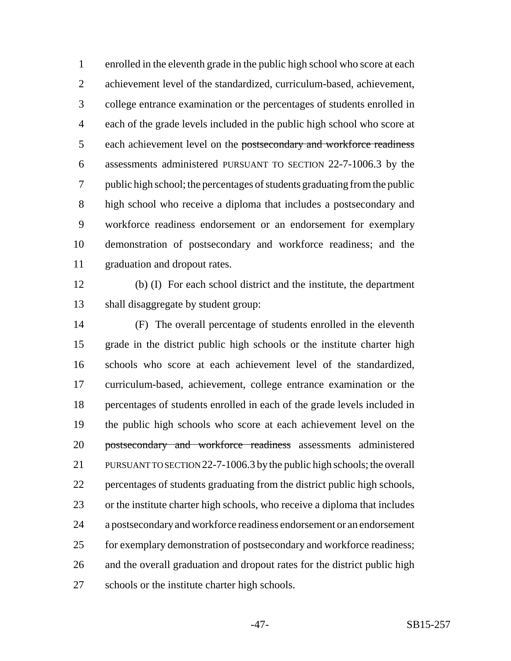enrolled in the eleventh grade in the public high school who score at each achievement level of the standardized, curriculum-based, achievement, college entrance examination or the percentages of students enrolled in each of the grade levels included in the public high school who score at 5 each achievement level on the postsecondary and workforce readiness assessments administered PURSUANT TO SECTION 22-7-1006.3 by the public high school; the percentages of students graduating from the public high school who receive a diploma that includes a postsecondary and workforce readiness endorsement or an endorsement for exemplary demonstration of postsecondary and workforce readiness; and the graduation and dropout rates.

 (b) (I) For each school district and the institute, the department shall disaggregate by student group:

 (F) The overall percentage of students enrolled in the eleventh grade in the district public high schools or the institute charter high schools who score at each achievement level of the standardized, curriculum-based, achievement, college entrance examination or the percentages of students enrolled in each of the grade levels included in the public high schools who score at each achievement level on the postsecondary and workforce readiness assessments administered PURSUANT TO SECTION 22-7-1006.3 by the public high schools; the overall percentages of students graduating from the district public high schools, or the institute charter high schools, who receive a diploma that includes a postsecondary and workforce readiness endorsement or an endorsement 25 for exemplary demonstration of postsecondary and workforce readiness; and the overall graduation and dropout rates for the district public high schools or the institute charter high schools.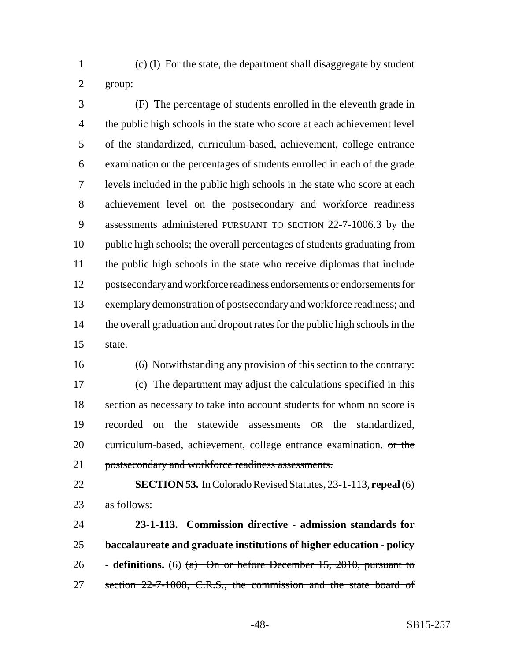(c) (I) For the state, the department shall disaggregate by student group:

 (F) The percentage of students enrolled in the eleventh grade in 4 the public high schools in the state who score at each achievement level of the standardized, curriculum-based, achievement, college entrance examination or the percentages of students enrolled in each of the grade levels included in the public high schools in the state who score at each 8 achievement level on the postsecondary and workforce readiness assessments administered PURSUANT TO SECTION 22-7-1006.3 by the public high schools; the overall percentages of students graduating from the public high schools in the state who receive diplomas that include postsecondary and workforce readiness endorsements or endorsements for exemplary demonstration of postsecondary and workforce readiness; and the overall graduation and dropout rates for the public high schools in the state.

(6) Notwithstanding any provision of this section to the contrary:

 (c) The department may adjust the calculations specified in this section as necessary to take into account students for whom no score is recorded on the statewide assessments OR the standardized, 20 curriculum-based, achievement, college entrance examination. or the postsecondary and workforce readiness assessments.

 **SECTION 53.** In Colorado Revised Statutes, 23-1-113, **repeal** (6) as follows:

 **23-1-113. Commission directive - admission standards for baccalaureate and graduate institutions of higher education - policy - definitions.** (6) (a) On or before December 15, 2010, pursuant to 27 section 22-7-1008, C.R.S., the commission and the state board of